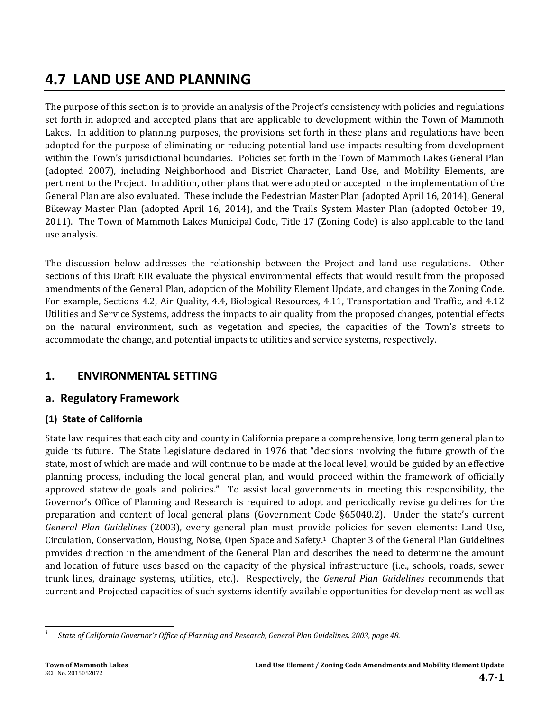# **4.7 LAND USE AND PLANNING**

The purpose of this section is to provide an analysis of the Project's consistency with policies and regulations set forth in adopted and accepted plans that are applicable to development within the Town of Mammoth Lakes. In addition to planning purposes, the provisions set forth in these plans and regulations have been adopted for the purpose of eliminating or reducing potential land use impacts resulting from development within the Town's jurisdictional boundaries. Policies set forth in the Town of Mammoth Lakes General Plan (adopted 2007), including Neighborhood and District Character, Land Use, and Mobility Elements, are pertinent to the Project. In addition, other plans that were adopted or accepted in the implementation of the General Plan are also evaluated. These include the Pedestrian Master Plan (adopted April 16, 2014), General Bikeway Master Plan (adopted April 16, 2014), and the Trails System Master Plan (adopted October 19, 2011). The Town of Mammoth Lakes Municipal Code, Title 17 (Zoning Code) is also applicable to the land use analysis.

The discussion below addresses the relationship between the Project and land use regulations. Other sections of this Draft EIR evaluate the physical environmental effects that would result from the proposed amendments of the General Plan, adoption of the Mobility Element Update, and changes in the Zoning Code. For example, Sections 4.2, Air Quality, 4.4, Biological Resources, 4.11, Transportation and Traffic, and 4.12 Utilities and Service Systems, address the impacts to air quality from the proposed changes, potential effects on the natural environment, such as vegetation and species, the capacities of the Town's streets to accommodate the change, and potential impacts to utilities and service systems, respectively.

# **1. ENVIRONMENTAL SETTING**

# **a. Regulatory Framework**

# **(1) State of California**

State law requires that each city and county in California prepare a comprehensive, long term general plan to guide its future. The State Legislature declared in 1976 that "decisions involving the future growth of the state, most of which are made and will continue to be made at the local level, would be guided by an effective planning process, including the local general plan, and would proceed within the framework of officially approved statewide goals and policies." To assist local governments in meeting this responsibility, the Governor's Office of Planning and Research is required to adopt and periodically revise guidelines for the preparation and content of local general plans (Government Code  $\S65040.2$ ). Under the state's current *General Plan Guidelines* (2003), every general plan must provide policies for seven elements: Land Use, Circulation, Conservation, Housing, Noise, Open Space and Safety.<sup>1</sup> Chapter 3 of the General Plan Guidelines provides direction in the amendment of the General Plan and describes the need to determine the amount and location of future uses based on the capacity of the physical infrastructure (i.e., schools, roads, sewer trunk lines, drainage systems, utilities, etc.). Respectively, the *General Plan Guidelines* recommends that current and Projected capacities of such systems identify available opportunities for development as well as

 *1 State of California Governor's Office of Planning and Research, General Plan Guidelines, 2003, page 48.*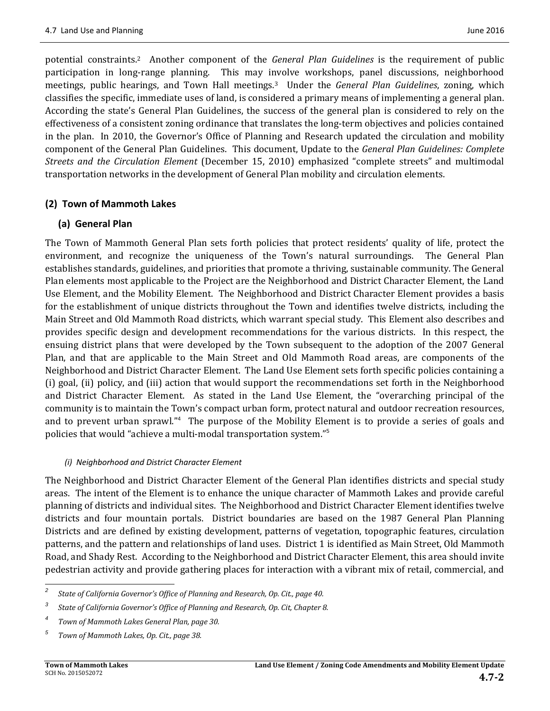potential constraints.<sup>2</sup> Another component of the *General Plan Guidelines* is the requirement of public participation in long-range planning. This may involve workshops, panel discussions, neighborhood meetings, public hearings, and Town Hall meetings.<sup>3</sup> Under the *General Plan Guidelines*, zoning, which classifies the specific, immediate uses of land, is considered a primary means of implementing a general plan. According the state's General Plan Guidelines, the success of the general plan is considered to rely on the effectiveness of a consistent zoning ordinance that translates the long-term objectives and policies contained in the plan. In 2010, the Governor's Office of Planning and Research updated the circulation and mobility component of the General Plan Guidelines. This document, Update to the *General Plan Guidelines: Complete Streets and the Circulation Element* (December 15, 2010) emphasized "complete streets" and multimodal transportation networks in the development of General Plan mobility and circulation elements.

#### **(2) Town of Mammoth Lakes**

#### **(a) General Plan**

The Town of Mammoth General Plan sets forth policies that protect residents' quality of life, protect the environment, and recognize the uniqueness of the Town's natural surroundings. The General Plan establishes standards, guidelines, and priorities that promote a thriving, sustainable community. The General Plan elements most applicable to the Project are the Neighborhood and District Character Element, the Land Use Element, and the Mobility Element. The Neighborhood and District Character Element provides a basis for the establishment of unique districts throughout the Town and identifies twelve districts, including the Main Street and Old Mammoth Road districts, which warrant special study. This Element also describes and provides specific design and development recommendations for the various districts. In this respect, the ensuing district plans that were developed by the Town subsequent to the adoption of the 2007 General Plan, and that are applicable to the Main Street and Old Mammoth Road areas, are components of the Neighborhood and District Character Element. The Land Use Element sets forth specific policies containing a (i) goal, (ii) policy, and (iii) action that would support the recommendations set forth in the Neighborhood and District Character Element. As stated in the Land Use Element, the "overarching principal of the community is to maintain the Town's compact urban form, protect natural and outdoor recreation resources, and to prevent urban sprawl."<sup>4</sup> The purpose of the Mobility Element is to provide a series of goals and policies that would "achieve a multi-modal transportation system."<sup>5</sup>

#### *(i) Neighborhood and District Character Element*

The Neighborhood and District Character Element of the General Plan identifies districts and special study areas. The intent of the Element is to enhance the unique character of Mammoth Lakes and provide careful planning of districts and individual sites. The Neighborhood and District Character Element identifies twelve districts and four mountain portals. District boundaries are based on the 1987 General Plan Planning Districts and are defined by existing development, patterns of vegetation, topographic features, circulation patterns, and the pattern and relationships of land uses. District 1 is identified as Main Street, Old Mammoth Road, and Shady Rest. According to the Neighborhood and District Character Element, this area should invite pedestrian activity and provide gathering places for interaction with a vibrant mix of retail, commercial, and

 

*<sup>2</sup> State of California Governor's Office of Planning and Research, Op. Cit., page 40.* 

*<sup>3</sup> State of California Governor's Office of Planning and Research, Op. Cit, Chapter 8.*

*<sup>4</sup> Town of Mammoth Lakes General Plan, page 30.*

*<sup>5</sup> Town of Mammoth Lakes, Op. Cit., page 38.*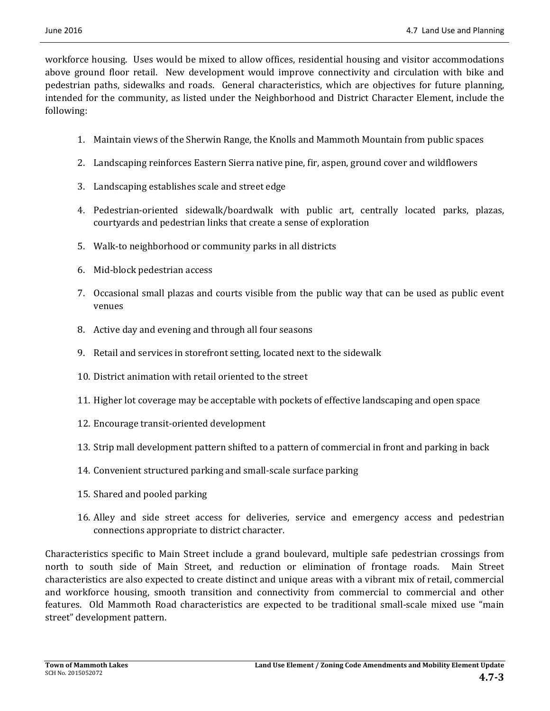workforce housing. Uses would be mixed to allow offices, residential housing and visitor accommodations above ground floor retail. New development would improve connectivity and circulation with bike and pedestrian paths, sidewalks and roads. General characteristics, which are objectives for future planning, intended for the community, as listed under the Neighborhood and District Character Element, include the following: 

- 1. Maintain views of the Sherwin Range, the Knolls and Mammoth Mountain from public spaces
- 2. Landscaping reinforces Eastern Sierra native pine, fir, aspen, ground cover and wildflowers
- 3. Landscaping establishes scale and street edge
- 4. Pedestrian-oriented sidewalk/boardwalk with public art, centrally located parks, plazas, courtyards and pedestrian links that create a sense of exploration
- 5. Walk-to neighborhood or community parks in all districts
- 6. Mid‐block pedestrian access
- 7. Occasional small plazas and courts visible from the public way that can be used as public event venues
- 8. Active day and evening and through all four seasons
- 9. Retail and services in storefront setting, located next to the sidewalk
- 10. District animation with retail oriented to the street
- 11. Higher lot coverage may be acceptable with pockets of effective landscaping and open space
- 12. Encourage transit-oriented development
- 13. Strip mall development pattern shifted to a pattern of commercial in front and parking in back
- 14. Convenient structured parking and small-scale surface parking
- 15. Shared and pooled parking
- 16. Alley and side street access for deliveries, service and emergency access and pedestrian connections appropriate to district character.

Characteristics specific to Main Street include a grand boulevard, multiple safe pedestrian crossings from north to south side of Main Street, and reduction or elimination of frontage roads. Main Street characteristics are also expected to create distinct and unique areas with a vibrant mix of retail, commercial and workforce housing, smooth transition and connectivity from commercial to commercial and other features. Old Mammoth Road characteristics are expected to be traditional small-scale mixed use "main street" development pattern.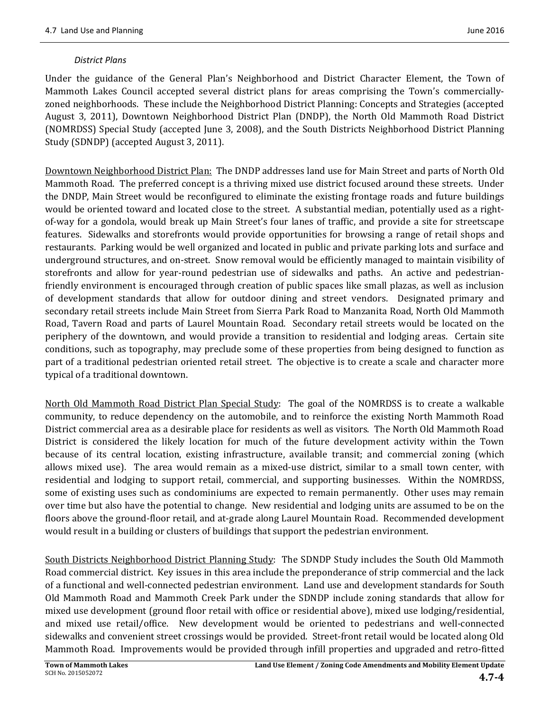#### *District Plans*

Under the guidance of the General Plan's Neighborhood and District Character Element, the Town of Mammoth Lakes Council accepted several district plans for areas comprising the Town's commerciallyzoned neighborhoods. These include the Neighborhood District Planning: Concepts and Strategies (accepted August 3, 2011), Downtown Neighborhood District Plan (DNDP), the North Old Mammoth Road District (NOMRDSS) Special Study (accepted June 3, 2008), and the South Districts Neighborhood District Planning Study (SDNDP) (accepted August 3, 2011).

Downtown Neighborhood District Plan: The DNDP addresses land use for Main Street and parts of North Old Mammoth Road. The preferred concept is a thriving mixed use district focused around these streets. Under the DNDP, Main Street would be reconfigured to eliminate the existing frontage roads and future buildings would be oriented toward and located close to the street. A substantial median, potentially used as a rightof-way for a gondola, would break up Main Street's four lanes of traffic, and provide a site for streetscape features. Sidewalks and storefronts would provide opportunities for browsing a range of retail shops and restaurants. Parking would be well organized and located in public and private parking lots and surface and underground structures, and on-street. Snow removal would be efficiently managed to maintain visibility of storefronts and allow for year-round pedestrian use of sidewalks and paths. An active and pedestrianfriendly environment is encouraged through creation of public spaces like small plazas, as well as inclusion of development standards that allow for outdoor dining and street vendors. Designated primary and secondary retail streets include Main Street from Sierra Park Road to Manzanita Road, North Old Mammoth Road, Tavern Road and parts of Laurel Mountain Road. Secondary retail streets would be located on the periphery of the downtown, and would provide a transition to residential and lodging areas. Certain site conditions, such as topography, may preclude some of these properties from being designed to function as part of a traditional pedestrian oriented retail street. The objective is to create a scale and character more typical of a traditional downtown.

North Old Mammoth Road District Plan Special Study: The goal of the NOMRDSS is to create a walkable community, to reduce dependency on the automobile, and to reinforce the existing North Mammoth Road District commercial area as a desirable place for residents as well as visitors. The North Old Mammoth Road District is considered the likely location for much of the future development activity within the Town because of its central location, existing infrastructure, available transit; and commercial zoning (which allows mixed use). The area would remain as a mixed-use district, similar to a small town center, with residential and lodging to support retail, commercial, and supporting businesses. Within the NOMRDSS, some of existing uses such as condominiums are expected to remain permanently. Other uses may remain over time but also have the potential to change. New residential and lodging units are assumed to be on the floors above the ground-floor retail, and at-grade along Laurel Mountain Road. Recommended development would result in a building or clusters of buildings that support the pedestrian environment.

South Districts Neighborhood District Planning Study: The SDNDP Study includes the South Old Mammoth Road commercial district. Key issues in this area include the preponderance of strip commercial and the lack of a functional and well-connected pedestrian environment. Land use and development standards for South Old Mammoth Road and Mammoth Creek Park under the SDNDP include zoning standards that allow for mixed use development (ground floor retail with office or residential above), mixed use lodging/residential, and mixed use retail/office. New development would be oriented to pedestrians and well-connected sidewalks and convenient street crossings would be provided. Street-front retail would be located along Old Mammoth Road. Improvements would be provided through infill properties and upgraded and retro-fitted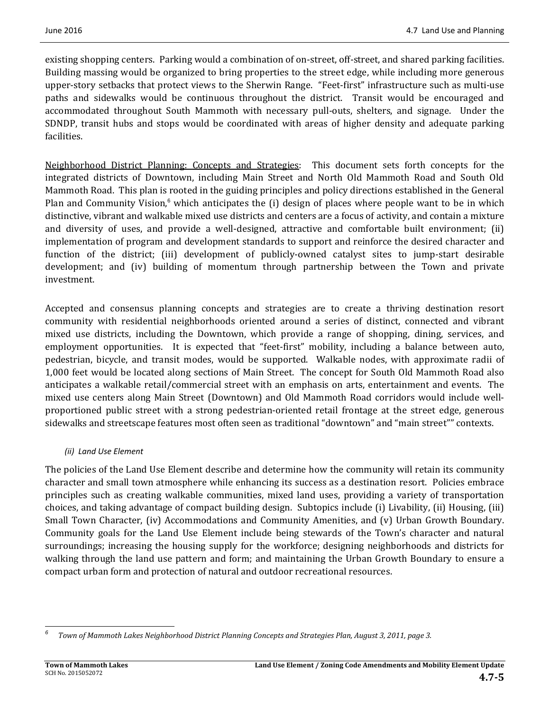existing shopping centers. Parking would a combination of on-street, off-street, and shared parking facilities. Building massing would be organized to bring properties to the street edge, while including more generous upper-story setbacks that protect views to the Sherwin Range. "Feet-first" infrastructure such as multi-use paths and sidewalks would be continuous throughout the district. Transit would be encouraged and accommodated throughout South Mammoth with necessary pull-outs, shelters, and signage. Under the SDNDP, transit hubs and stops would be coordinated with areas of higher density and adequate parking facilities. 

Neighborhood District Planning: Concepts and Strategies: This document sets forth concepts for the integrated districts of Downtown, including Main Street and North Old Mammoth Road and South Old Mammoth Road. This plan is rooted in the guiding principles and policy directions established in the General Plan and Community Vision, $6$  which anticipates the (i) design of places where people want to be in which distinctive, vibrant and walkable mixed use districts and centers are a focus of activity, and contain a mixture and diversity of uses, and provide a well-designed, attractive and comfortable built environment; (ii) implementation of program and development standards to support and reinforce the desired character and function of the district; (iii) development of publicly-owned catalyst sites to jump-start desirable development; and (iv) building of momentum through partnership between the Town and private investment. 

Accepted and consensus planning concepts and strategies are to create a thriving destination resort community with residential neighborhoods oriented around a series of distinct, connected and vibrant mixed use districts, including the Downtown, which provide a range of shopping, dining, services, and employment opportunities. It is expected that "feet-first" mobility, including a balance between auto, pedestrian, bicycle, and transit modes, would be supported. Walkable nodes, with approximate radii of 1,000 feet would be located along sections of Main Street. The concept for South Old Mammoth Road also anticipates a walkable retail/commercial street with an emphasis on arts, entertainment and events. The mixed use centers along Main Street (Downtown) and Old Mammoth Road corridors would include wellproportioned public street with a strong pedestrian-oriented retail frontage at the street edge, generous sidewalks and streetscape features most often seen as traditional "downtown" and "main street"" contexts.

#### *(ii) Land Use Element*

The policies of the Land Use Element describe and determine how the community will retain its community character and small town atmosphere while enhancing its success as a destination resort. Policies embrace principles such as creating walkable communities, mixed land uses, providing a variety of transportation choices, and taking advantage of compact building design. Subtopics include (i) Livability, (ii) Housing, (iii) Small Town Character, (iv) Accommodations and Community Amenities, and (v) Urban Growth Boundary. Community goals for the Land Use Element include being stewards of the Town's character and natural surroundings; increasing the housing supply for the workforce; designing neighborhoods and districts for walking through the land use pattern and form; and maintaining the Urban Growth Boundary to ensure a compact urban form and protection of natural and outdoor recreational resources.

 *6* Town of Mammoth Lakes Neighborhood District Planning Concepts and Strategies Plan, August 3, 2011, page 3.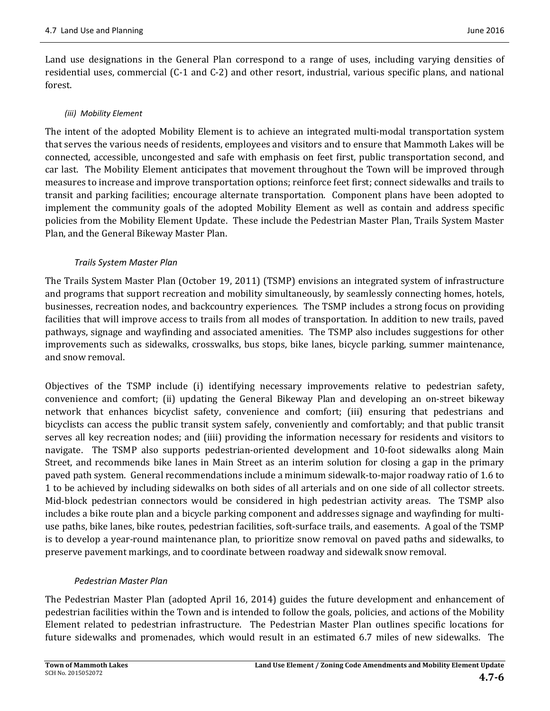Land use designations in the General Plan correspond to a range of uses, including varying densities of residential uses, commercial (C-1 and C-2) and other resort, industrial, various specific plans, and national forest. 

#### *(iii) Mobility Element*

The intent of the adopted Mobility Element is to achieve an integrated multi-modal transportation system that serves the various needs of residents, employees and visitors and to ensure that Mammoth Lakes will be connected, accessible, uncongested and safe with emphasis on feet first, public transportation second, and car last. The Mobility Element anticipates that movement throughout the Town will be improved through measures to increase and improve transportation options; reinforce feet first; connect sidewalks and trails to transit and parking facilities; encourage alternate transportation. Component plans have been adopted to implement the community goals of the adopted Mobility Element as well as contain and address specific policies from the Mobility Element Update. These include the Pedestrian Master Plan, Trails System Master Plan, and the General Bikeway Master Plan.

#### *Trails System Master Plan*

The Trails System Master Plan (October 19, 2011) (TSMP) envisions an integrated system of infrastructure and programs that support recreation and mobility simultaneously, by seamlessly connecting homes, hotels, businesses, recreation nodes, and backcountry experiences. The TSMP includes a strong focus on providing facilities that will improve access to trails from all modes of transportation. In addition to new trails, paved pathways, signage and wayfinding and associated amenities. The TSMP also includes suggestions for other improvements such as sidewalks, crosswalks, bus stops, bike lanes, bicycle parking, summer maintenance, and snow removal.

Objectives of the TSMP include (i) identifying necessary improvements relative to pedestrian safety, convenience and comfort; (ii) updating the General Bikeway Plan and developing an on-street bikeway network that enhances bicyclist safety, convenience and comfort; (iii) ensuring that pedestrians and bicyclists can access the public transit system safely, conveniently and comfortably; and that public transit serves all key recreation nodes; and (iiii) providing the information necessary for residents and visitors to navigate. The TSMP also supports pedestrian-oriented development and 10-foot sidewalks along Main Street, and recommends bike lanes in Main Street as an interim solution for closing a gap in the primary paved path system. General recommendations include a minimum sidewalk-to-major roadway ratio of 1.6 to 1 to be achieved by including sidewalks on both sides of all arterials and on one side of all collector streets. Mid-block pedestrian connectors would be considered in high pedestrian activity areas. The TSMP also includes a bike route plan and a bicycle parking component and addresses signage and wayfinding for multiuse paths, bike lanes, bike routes, pedestrian facilities, soft-surface trails, and easements. A goal of the TSMP is to develop a year-round maintenance plan, to prioritize snow removal on paved paths and sidewalks, to preserve pavement markings, and to coordinate between roadway and sidewalk snow removal.

#### *Pedestrian Master Plan*

The Pedestrian Master Plan (adopted April 16, 2014) guides the future development and enhancement of pedestrian facilities within the Town and is intended to follow the goals, policies, and actions of the Mobility Element related to pedestrian infrastructure. The Pedestrian Master Plan outlines specific locations for future sidewalks and promenades, which would result in an estimated 6.7 miles of new sidewalks. The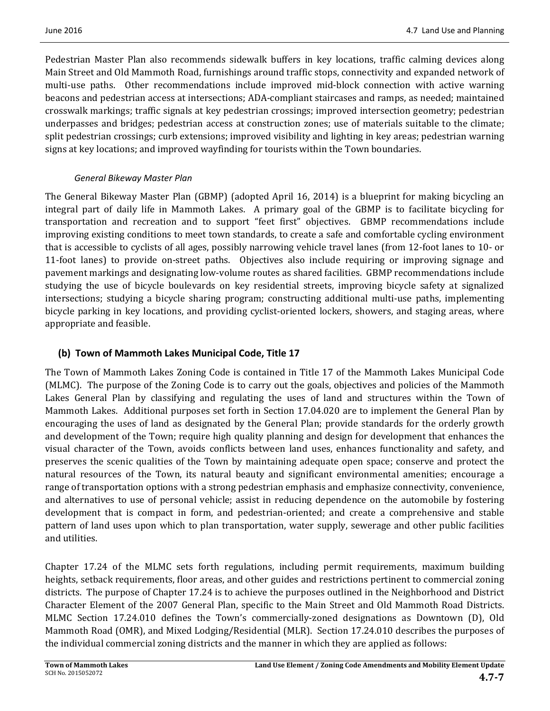Pedestrian Master Plan also recommends sidewalk buffers in key locations, traffic calming devices along Main Street and Old Mammoth Road, furnishings around traffic stops, connectivity and expanded network of multi-use paths. Other recommendations include improved mid-block connection with active warning beacons and pedestrian access at intersections; ADA-compliant staircases and ramps, as needed; maintained crosswalk markings; traffic signals at key pedestrian crossings; improved intersection geometry; pedestrian underpasses and bridges; pedestrian access at construction zones; use of materials suitable to the climate; split pedestrian crossings; curb extensions; improved visibility and lighting in key areas; pedestrian warning signs at key locations; and improved wayfinding for tourists within the Town boundaries.

### *General Bikeway Master Plan*

The General Bikeway Master Plan (GBMP) (adopted April 16, 2014) is a blueprint for making bicycling an integral part of daily life in Mammoth Lakes. A primary goal of the GBMP is to facilitate bicycling for transportation and recreation and to support "feet first" objectives. GBMP recommendations include improving existing conditions to meet town standards, to create a safe and comfortable cycling environment that is accessible to cyclists of all ages, possibly narrowing vehicle travel lanes (from 12-foot lanes to 10- or 11-foot lanes) to provide on-street paths. Objectives also include requiring or improving signage and pavement markings and designating low-volume routes as shared facilities. GBMP recommendations include studying the use of bicycle boulevards on key residential streets, improving bicycle safety at signalized intersections; studying a bicycle sharing program; constructing additional multi-use paths, implementing bicycle parking in key locations, and providing cyclist-oriented lockers, showers, and staging areas, where appropriate and feasible.

# **(b) Town of Mammoth Lakes Municipal Code, Title 17**

The Town of Mammoth Lakes Zoning Code is contained in Title 17 of the Mammoth Lakes Municipal Code (MLMC). The purpose of the Zoning Code is to carry out the goals, objectives and policies of the Mammoth Lakes General Plan by classifying and regulating the uses of land and structures within the Town of Mammoth Lakes. Additional purposes set forth in Section 17.04.020 are to implement the General Plan by encouraging the uses of land as designated by the General Plan; provide standards for the orderly growth and development of the Town; require high quality planning and design for development that enhances the visual character of the Town, avoids conflicts between land uses, enhances functionality and safety, and preserves the scenic qualities of the Town by maintaining adequate open space; conserve and protect the natural resources of the Town, its natural beauty and significant environmental amenities; encourage a range of transportation options with a strong pedestrian emphasis and emphasize connectivity, convenience, and alternatives to use of personal vehicle; assist in reducing dependence on the automobile by fostering development that is compact in form, and pedestrian-oriented; and create a comprehensive and stable pattern of land uses upon which to plan transportation, water supply, sewerage and other public facilities and utilities.

Chapter 17.24 of the MLMC sets forth regulations, including permit requirements, maximum building heights, setback requirements, floor areas, and other guides and restrictions pertinent to commercial zoning districts. The purpose of Chapter 17.24 is to achieve the purposes outlined in the Neighborhood and District Character Element of the 2007 General Plan, specific to the Main Street and Old Mammoth Road Districts. MLMC Section 17.24.010 defines the Town's commercially-zoned designations as Downtown (D), Old Mammoth Road (OMR), and Mixed Lodging/Residential (MLR). Section 17.24.010 describes the purposes of the individual commercial zoning districts and the manner in which they are applied as follows: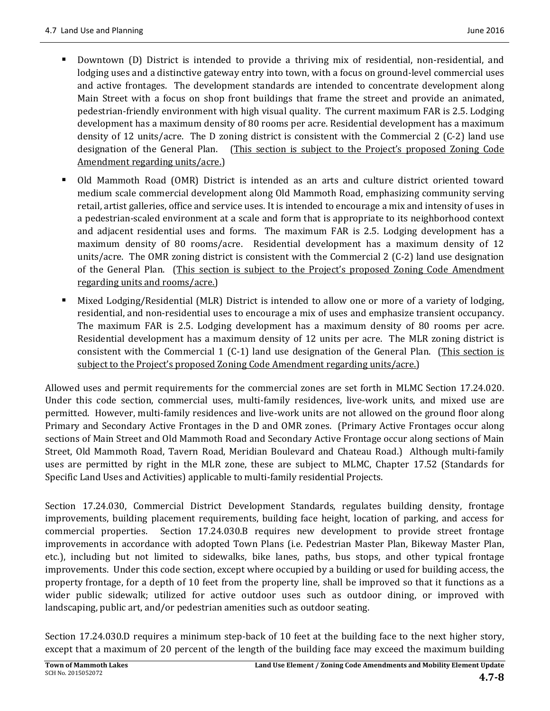- Downtown (D) District is intended to provide a thriving mix of residential, non-residential, and lodging uses and a distinctive gateway entry into town, with a focus on ground-level commercial uses and active frontages. The development standards are intended to concentrate development along Main Street with a focus on shop front buildings that frame the street and provide an animated, pedestrian-friendly environment with high visual quality. The current maximum FAR is 2.5. Lodging development has a maximum density of 80 rooms per acre. Residential development has a maximum density of 12 units/acre. The D zoning district is consistent with the Commercial 2 (C-2) land use designation of the General Plan. (This section is subject to the Project's proposed Zoning Code Amendment regarding units/acre.)
- Old Mammoth Road (OMR) District is intended as an arts and culture district oriented toward medium scale commercial development along Old Mammoth Road, emphasizing community serving retail, artist galleries, office and service uses. It is intended to encourage a mix and intensity of uses in a pedestrian-scaled environment at a scale and form that is appropriate to its neighborhood context and adjacent residential uses and forms. The maximum FAR is 2.5. Lodging development has a maximum density of 80 rooms/acre. Residential development has a maximum density of 12 units/acre. The OMR zoning district is consistent with the Commercial  $2$  (C-2) land use designation of the General Plan. (This section is subject to the Project's proposed Zoning Code Amendment regarding units and rooms/acre.)
- Mixed Lodging/Residential (MLR) District is intended to allow one or more of a variety of lodging, residential, and non-residential uses to encourage a mix of uses and emphasize transient occupancy. The maximum FAR is 2.5. Lodging development has a maximum density of 80 rooms per acre. Residential development has a maximum density of 12 units per acre. The MLR zoning district is consistent with the Commercial 1 (C-1) land use designation of the General Plan. (This section is subject to the Project's proposed Zoning Code Amendment regarding units/acre.)

Allowed uses and permit requirements for the commercial zones are set forth in MLMC Section 17.24.020. Under this code section, commercial uses, multi-family residences, live-work units, and mixed use are permitted. However, multi-family residences and live-work units are not allowed on the ground floor along Primary and Secondary Active Frontages in the D and OMR zones. (Primary Active Frontages occur along sections of Main Street and Old Mammoth Road and Secondary Active Frontage occur along sections of Main Street, Old Mammoth Road, Tavern Road, Meridian Boulevard and Chateau Road.) Although multi-family uses are permitted by right in the MLR zone, these are subject to MLMC, Chapter 17.52 (Standards for Specific Land Uses and Activities) applicable to multi-family residential Projects.

Section 17.24.030, Commercial District Development Standards, regulates building density, frontage improvements, building placement requirements, building face height, location of parking, and access for commercial properties. Section 17.24.030.B requires new development to provide street frontage improvements in accordance with adopted Town Plans (i.e. Pedestrian Master Plan, Bikeway Master Plan, etc.), including but not limited to sidewalks, bike lanes, paths, bus stops, and other typical frontage improvements. Under this code section, except where occupied by a building or used for building access, the property frontage, for a depth of 10 feet from the property line, shall be improved so that it functions as a wider public sidewalk; utilized for active outdoor uses such as outdoor dining, or improved with landscaping, public art, and/or pedestrian amenities such as outdoor seating.

Section 17.24.030.D requires a minimum step-back of 10 feet at the building face to the next higher story, except that a maximum of 20 percent of the length of the building face may exceed the maximum building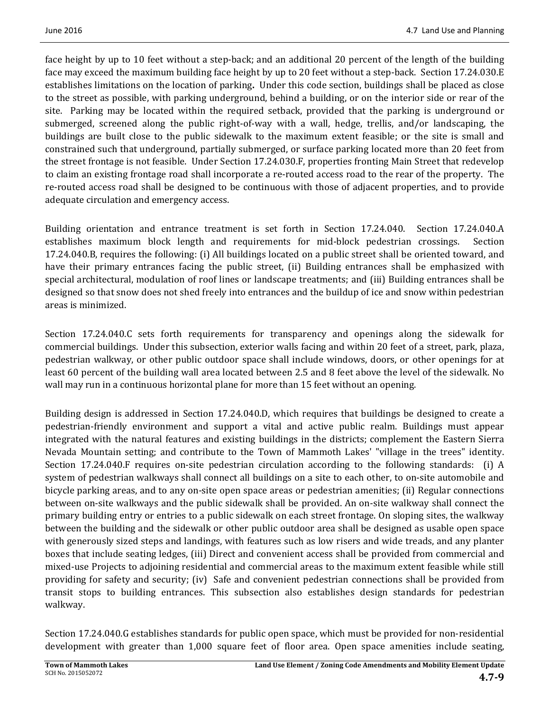face height by up to 10 feet without a step-back; and an additional 20 percent of the length of the building face may exceed the maximum building face height by up to 20 feet without a step-back. Section 17.24.030.E establishes limitations on the location of parking. Under this code section, buildings shall be placed as close to the street as possible, with parking underground, behind a building, or on the interior side or rear of the site. Parking may be located within the required setback, provided that the parking is underground or submerged, screened along the public right-of-way with a wall, hedge, trellis, and/or landscaping, the buildings are built close to the public sidewalk to the maximum extent feasible; or the site is small and constrained such that underground, partially submerged, or surface parking located more than 20 feet from the street frontage is not feasible. Under Section 17.24.030.F, properties fronting Main Street that redevelop to claim an existing frontage road shall incorporate a re-routed access road to the rear of the property. The re-routed access road shall be designed to be continuous with those of adjacent properties, and to provide adequate circulation and emergency access.

Building orientation and entrance treatment is set forth in Section 17.24.040. Section 17.24.040.A establishes maximum block length and requirements for mid-block pedestrian crossings. Section 17.24.040.B, requires the following: (i) All buildings located on a public street shall be oriented toward, and have their primary entrances facing the public street, (ii) Building entrances shall be emphasized with special architectural, modulation of roof lines or landscape treatments; and (iii) Building entrances shall be designed so that snow does not shed freely into entrances and the buildup of ice and snow within pedestrian areas is minimized.

Section 17.24.040.C sets forth requirements for transparency and openings along the sidewalk for commercial buildings. Under this subsection, exterior walls facing and within 20 feet of a street, park, plaza, pedestrian walkway, or other public outdoor space shall include windows, doors, or other openings for at least 60 percent of the building wall area located between 2.5 and 8 feet above the level of the sidewalk. No wall may run in a continuous horizontal plane for more than 15 feet without an opening.

Building design is addressed in Section 17.24.040.D, which requires that buildings be designed to create a pedestrian‐friendly environment and support a vital and active public realm. Buildings must appear integrated with the natural features and existing buildings in the districts; complement the Eastern Sierra Nevada Mountain setting; and contribute to the Town of Mammoth Lakes' "village in the trees" identity. Section  $17.24.040.F$  requires on-site pedestrian circulation according to the following standards: (i) A system of pedestrian walkways shall connect all buildings on a site to each other, to on-site automobile and bicycle parking areas, and to any on-site open space areas or pedestrian amenities; (ii) Regular connections between on-site walkways and the public sidewalk shall be provided. An on-site walkway shall connect the primary building entry or entries to a public sidewalk on each street frontage. On sloping sites, the walkway between the building and the sidewalk or other public outdoor area shall be designed as usable open space with generously sized steps and landings, with features such as low risers and wide treads, and any planter boxes that include seating ledges, (iii) Direct and convenient access shall be provided from commercial and mixed-use Projects to adjoining residential and commercial areas to the maximum extent feasible while still providing for safety and security; (iv) Safe and convenient pedestrian connections shall be provided from transit stops to building entrances. This subsection also establishes design standards for pedestrian walkway. 

Section 17.24.040.G establishes standards for public open space, which must be provided for non-residential development with greater than 1,000 square feet of floor area. Open space amenities include seating,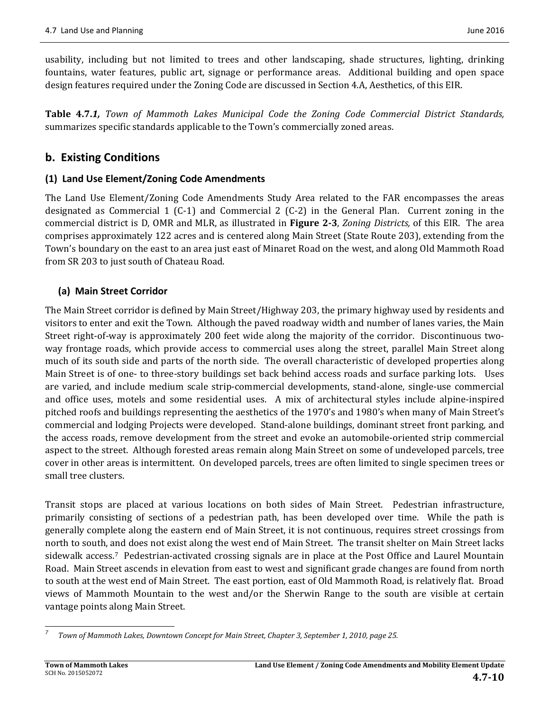usability, including but not limited to trees and other landscaping, shade structures, lighting, drinking fountains, water features, public art, signage or performance areas. Additional building and open space design features required under the Zoning Code are discussed in Section 4.A, Aesthetics, of this EIR.

**Table 4.7.***1, Town of Mammoth Lakes Municipal Code the Zoning Code Commercial District Standards,* summarizes specific standards applicable to the Town's commercially zoned areas.

# **b. Existing Conditions**

# **(1) Land Use Element/Zoning Code Amendments**

The Land Use Element/Zoning Code Amendments Study Area related to the FAR encompasses the areas designated as Commercial 1 (C-1) and Commercial 2 (C-2) in the General Plan. Current zoning in the commercial district is D, OMR and MLR, as illustrated in **Figure 2-3**, *Zoning Districts*, of this EIR. The area comprises approximately 122 acres and is centered along Main Street (State Route 203), extending from the Town's boundary on the east to an area just east of Minaret Road on the west, and along Old Mammoth Road from SR 203 to just south of Chateau Road.

# **(a) Main Street Corridor**

The Main Street corridor is defined by Main Street/Highway 203, the primary highway used by residents and visitors to enter and exit the Town. Although the paved roadway width and number of lanes varies, the Main Street right-of-way is approximately 200 feet wide along the majority of the corridor. Discontinuous twoway frontage roads, which provide access to commercial uses along the street, parallel Main Street along much of its south side and parts of the north side. The overall characteristic of developed properties along Main Street is of one- to three-story buildings set back behind access roads and surface parking lots. Uses are varied, and include medium scale strip-commercial developments, stand-alone, single-use commercial and office uses, motels and some residential uses. A mix of architectural styles include alpine-inspired pitched roofs and buildings representing the aesthetics of the 1970's and 1980's when many of Main Street's commercial and lodging Projects were developed. Stand-alone buildings, dominant street front parking, and the access roads, remove development from the street and evoke an automobile-oriented strip commercial aspect to the street. Although forested areas remain along Main Street on some of undeveloped parcels, tree cover in other areas is intermittent. On developed parcels, trees are often limited to single specimen trees or small tree clusters.

Transit stops are placed at various locations on both sides of Main Street. Pedestrian infrastructure, primarily consisting of sections of a pedestrian path, has been developed over time. While the path is generally complete along the eastern end of Main Street, it is not continuous, requires street crossings from north to south, and does not exist along the west end of Main Street. The transit shelter on Main Street lacks sidewalk access.<sup>7</sup> Pedestrian-activated crossing signals are in place at the Post Office and Laurel Mountain Road. Main Street ascends in elevation from east to west and significant grade changes are found from north to south at the west end of Main Street. The east portion, east of Old Mammoth Road, is relatively flat. Broad views of Mammoth Mountain to the west and/or the Sherwin Range to the south are visible at certain vantage points along Main Street.

 *7 Town of Mammoth Lakes, Downtown Concept for Main Street, Chapter 3, September 1, 2010, page 25.*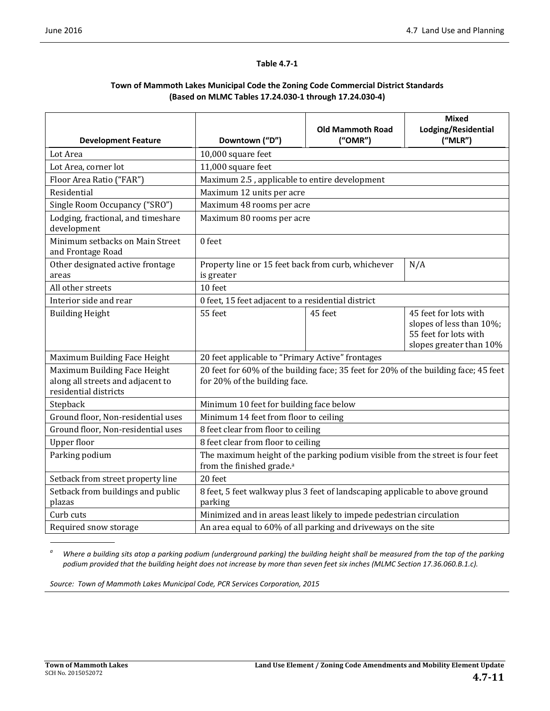#### **Table 4.7‐1**

#### **Town of Mammoth Lakes Municipal Code the Zoning Code Commercial District Standards (Based on MLMC Tables 17.24.030‐1 through 17.24.030‐4)**

|                                                                                            |                                                                                                                        |                                    | <b>Mixed</b><br>Lodging/Residential                                                                   |
|--------------------------------------------------------------------------------------------|------------------------------------------------------------------------------------------------------------------------|------------------------------------|-------------------------------------------------------------------------------------------------------|
| <b>Development Feature</b>                                                                 | Downtown ("D")                                                                                                         | <b>Old Mammoth Road</b><br>("OMR") | ("MLR")                                                                                               |
| Lot Area                                                                                   | 10,000 square feet                                                                                                     |                                    |                                                                                                       |
| Lot Area, corner lot                                                                       | 11,000 square feet                                                                                                     |                                    |                                                                                                       |
| Floor Area Ratio ("FAR")                                                                   | Maximum 2.5, applicable to entire development                                                                          |                                    |                                                                                                       |
| Residential                                                                                | Maximum 12 units per acre                                                                                              |                                    |                                                                                                       |
| Single Room Occupancy ("SRO")                                                              | Maximum 48 rooms per acre                                                                                              |                                    |                                                                                                       |
| Lodging, fractional, and timeshare<br>development                                          | Maximum 80 rooms per acre                                                                                              |                                    |                                                                                                       |
| Minimum setbacks on Main Street<br>and Frontage Road                                       | 0 feet                                                                                                                 |                                    |                                                                                                       |
| Other designated active frontage<br>areas                                                  | Property line or 15 feet back from curb, whichever<br>N/A<br>is greater                                                |                                    |                                                                                                       |
| All other streets                                                                          | 10 feet                                                                                                                |                                    |                                                                                                       |
| Interior side and rear                                                                     | 0 feet, 15 feet adjacent to a residential district                                                                     |                                    |                                                                                                       |
| <b>Building Height</b>                                                                     | 55 feet                                                                                                                | 45 feet                            | 45 feet for lots with<br>slopes of less than 10%;<br>55 feet for lots with<br>slopes greater than 10% |
| Maximum Building Face Height                                                               | 20 feet applicable to "Primary Active" frontages                                                                       |                                    |                                                                                                       |
| Maximum Building Face Height<br>along all streets and adjacent to<br>residential districts | 20 feet for 60% of the building face; 35 feet for 20% of the building face; 45 feet<br>for 20% of the building face.   |                                    |                                                                                                       |
| Stepback                                                                                   | Minimum 10 feet for building face below                                                                                |                                    |                                                                                                       |
| Ground floor, Non-residential uses                                                         | Minimum 14 feet from floor to ceiling                                                                                  |                                    |                                                                                                       |
| Ground floor, Non-residential uses                                                         | 8 feet clear from floor to ceiling                                                                                     |                                    |                                                                                                       |
| <b>Upper floor</b>                                                                         | 8 feet clear from floor to ceiling                                                                                     |                                    |                                                                                                       |
| Parking podium                                                                             | The maximum height of the parking podium visible from the street is four feet<br>from the finished grade. <sup>a</sup> |                                    |                                                                                                       |
| Setback from street property line                                                          | 20 feet                                                                                                                |                                    |                                                                                                       |
| Setback from buildings and public<br>plazas                                                | 8 feet, 5 feet walkway plus 3 feet of landscaping applicable to above ground<br>parking                                |                                    |                                                                                                       |
| Curb cuts                                                                                  | Minimized and in areas least likely to impede pedestrian circulation                                                   |                                    |                                                                                                       |
| Required snow storage                                                                      | An area equal to 60% of all parking and driveways on the site                                                          |                                    |                                                                                                       |

<sup>a</sup> Where a building sits atop a parking podium (underground parking) the building height shall be measured from the top of the parking podium provided that the building height does not increase by more than seven feet six inches (MLMC Section 17.36.060.B.1.c).

*Source: Town of Mammoth Lakes Municipal Code, PCR Services Corporation, 2015*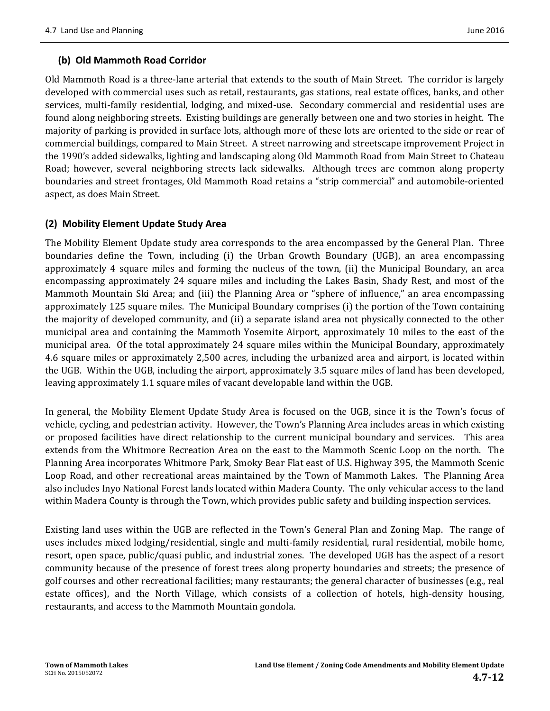#### **(b) Old Mammoth Road Corridor**

Old Mammoth Road is a three-lane arterial that extends to the south of Main Street. The corridor is largely developed with commercial uses such as retail, restaurants, gas stations, real estate offices, banks, and other services, multi-family residential, lodging, and mixed-use. Secondary commercial and residential uses are found along neighboring streets. Existing buildings are generally between one and two stories in height. The majority of parking is provided in surface lots, although more of these lots are oriented to the side or rear of commercial buildings, compared to Main Street. A street narrowing and streetscape improvement Project in the 1990's added sidewalks, lighting and landscaping along Old Mammoth Road from Main Street to Chateau Road; however, several neighboring streets lack sidewalks. Although trees are common along property boundaries and street frontages, Old Mammoth Road retains a "strip commercial" and automobile-oriented aspect, as does Main Street.

#### **(2) Mobility Element Update Study Area**

The Mobility Element Update study area corresponds to the area encompassed by the General Plan. Three boundaries define the Town, including (i) the Urban Growth Boundary (UGB), an area encompassing approximately 4 square miles and forming the nucleus of the town, (ii) the Municipal Boundary, an area encompassing approximately 24 square miles and including the Lakes Basin, Shady Rest, and most of the Mammoth Mountain Ski Area; and (iii) the Planning Area or "sphere of influence," an area encompassing approximately 125 square miles. The Municipal Boundary comprises (i) the portion of the Town containing the majority of developed community, and (ii) a separate island area not physically connected to the other municipal area and containing the Mammoth Yosemite Airport, approximately 10 miles to the east of the municipal area. Of the total approximately 24 square miles within the Municipal Boundary, approximately 4.6 square miles or approximately 2,500 acres, including the urbanized area and airport, is located within the UGB. Within the UGB, including the airport, approximately 3.5 square miles of land has been developed, leaving approximately 1.1 square miles of vacant developable land within the UGB.

In general, the Mobility Element Update Study Area is focused on the UGB, since it is the Town's focus of vehicle, cycling, and pedestrian activity. However, the Town's Planning Area includes areas in which existing or proposed facilities have direct relationship to the current municipal boundary and services. This area extends from the Whitmore Recreation Area on the east to the Mammoth Scenic Loop on the north. The Planning Area incorporates Whitmore Park, Smoky Bear Flat east of U.S. Highway 395, the Mammoth Scenic Loop Road, and other recreational areas maintained by the Town of Mammoth Lakes. The Planning Area also includes Inyo National Forest lands located within Madera County. The only vehicular access to the land within Madera County is through the Town, which provides public safety and building inspection services.

Existing land uses within the UGB are reflected in the Town's General Plan and Zoning Map. The range of uses includes mixed lodging/residential, single and multi-family residential, rural residential, mobile home, resort, open space, public/quasi public, and industrial zones. The developed UGB has the aspect of a resort community because of the presence of forest trees along property boundaries and streets; the presence of golf courses and other recreational facilities; many restaurants; the general character of businesses (e.g., real estate offices), and the North Village, which consists of a collection of hotels, high-density housing, restaurants, and access to the Mammoth Mountain gondola.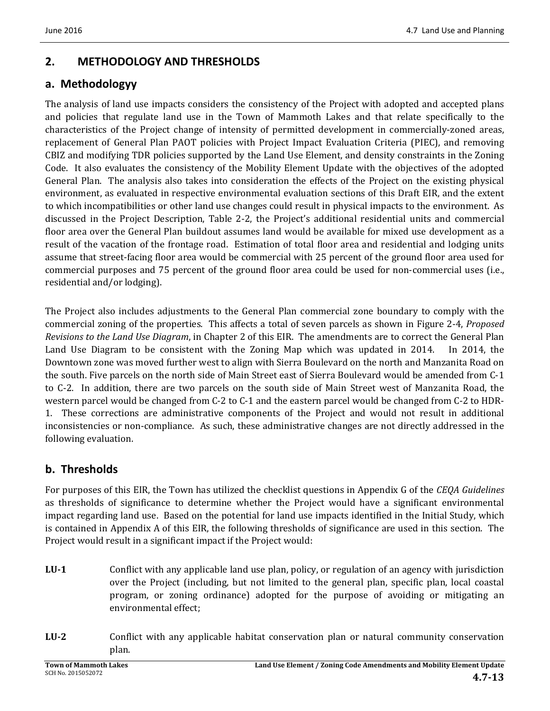# **2. METHODOLOGY AND THRESHOLDS**

# **a. Methodologyy**

The analysis of land use impacts considers the consistency of the Project with adopted and accepted plans and policies that regulate land use in the Town of Mammoth Lakes and that relate specifically to the characteristics of the Project change of intensity of permitted development in commercially-zoned areas, replacement of General Plan PAOT policies with Project Impact Evaluation Criteria (PIEC), and removing CBIZ and modifying TDR policies supported by the Land Use Element, and density constraints in the Zoning Code. It also evaluates the consistency of the Mobility Element Update with the objectives of the adopted General Plan. The analysis also takes into consideration the effects of the Project on the existing physical environment, as evaluated in respective environmental evaluation sections of this Draft EIR, and the extent to which incompatibilities or other land use changes could result in physical impacts to the environment. As discussed in the Project Description, Table 2-2, the Project's additional residential units and commercial floor area over the General Plan buildout assumes land would be available for mixed use development as a result of the vacation of the frontage road. Estimation of total floor area and residential and lodging units assume that street-facing floor area would be commercial with 25 percent of the ground floor area used for commercial purposes and 75 percent of the ground floor area could be used for non-commercial uses (i.e., residential and/or lodging).

The Project also includes adjustments to the General Plan commercial zone boundary to comply with the commercial zoning of the properties. This affects a total of seven parcels as shown in Figure 2-4, *Proposed Revisions* to the *Land Use Diagram*, in Chapter 2 of this EIR. The amendments are to correct the General Plan Land Use Diagram to be consistent with the Zoning Map which was updated in 2014. In 2014, the Downtown zone was moved further west to align with Sierra Boulevard on the north and Manzanita Road on the south. Five parcels on the north side of Main Street east of Sierra Boulevard would be amended from C-1 to C-2. In addition, there are two parcels on the south side of Main Street west of Manzanita Road, the western parcel would be changed from C-2 to C-1 and the eastern parcel would be changed from C-2 to HDR-1. These corrections are administrative components of the Project and would not result in additional inconsistencies or non-compliance. As such, these administrative changes are not directly addressed in the following evaluation.

# **b. Thresholds**

For purposes of this EIR, the Town has utilized the checklist questions in Appendix G of the *CEQA Guidelines* as thresholds of significance to determine whether the Project would have a significant environmental impact regarding land use. Based on the potential for land use impacts identified in the Initial Study, which is contained in Appendix A of this EIR, the following thresholds of significance are used in this section. The Project would result in a significant impact if the Project would:

- **LU-1** Conflict with any applicable land use plan, policy, or regulation of an agency with jurisdiction over the Project (including, but not limited to the general plan, specific plan, local coastal program, or zoning ordinance) adopted for the purpose of avoiding or mitigating an environmental effect;
- **LU-2** Conflict with any applicable habitat conservation plan or natural community conservation plan.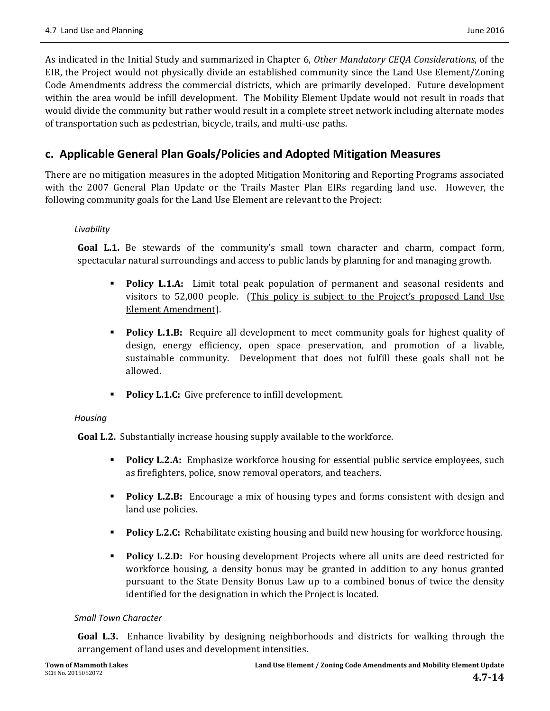As indicated in the Initial Study and summarized in Chapter 6, Other Mandatory CEQA Considerations, of the EIR, the Project would not physically divide an established community since the Land Use Element/Zoning Code Amendments address the commercial districts, which are primarily developed. Future development within the area would be infill development. The Mobility Element Update would not result in roads that would divide the community but rather would result in a complete street network including alternate modes of transportation such as pedestrian, bicycle, trails, and multi-use paths.

# **c. Applicable General Plan Goals/Policies and Adopted Mitigation Measures**

There are no mitigation measures in the adopted Mitigation Monitoring and Reporting Programs associated with the 2007 General Plan Update or the Trails Master Plan EIRs regarding land use. However, the following community goals for the Land Use Element are relevant to the Project:

#### *Livability*

**Goal L.1.** Be stewards of the community's small town character and charm, compact form, spectacular natural surroundings and access to public lands by planning for and managing growth.

- **Policy L.1.A:** Limit total peak population of permanent and seasonal residents and visitors to  $52,000$  people. (This policy is subject to the Project's proposed Land Use Element Amendment).
- **Policy L.1.B:** Require all development to meet community goals for highest quality of design, energy efficiency, open space preservation, and promotion of a livable, sustainable community. Development that does not fulfill these goals shall not be allowed.
- **Policy L.1.C:** Give preference to infill development.

#### *Housing*

**Goal L.2.** Substantially increase housing supply available to the workforce.

- **Policy L.2.A:** Emphasize workforce housing for essential public service employees, such as firefighters, police, snow removal operators, and teachers.
- **Policy L.2.B:** Encourage a mix of housing types and forms consistent with design and land use policies.
- **Policy L.2.C:** Rehabilitate existing housing and build new housing for workforce housing.
- **Policy L.2.D:** For housing development Projects where all units are deed restricted for workforce housing, a density bonus may be granted in addition to any bonus granted pursuant to the State Density Bonus Law up to a combined bonus of twice the density identified for the designation in which the Project is located.

#### *Small Town Character*

**Goal L.3.** Enhance livability by designing neighborhoods and districts for walking through the arrangement of land uses and development intensities.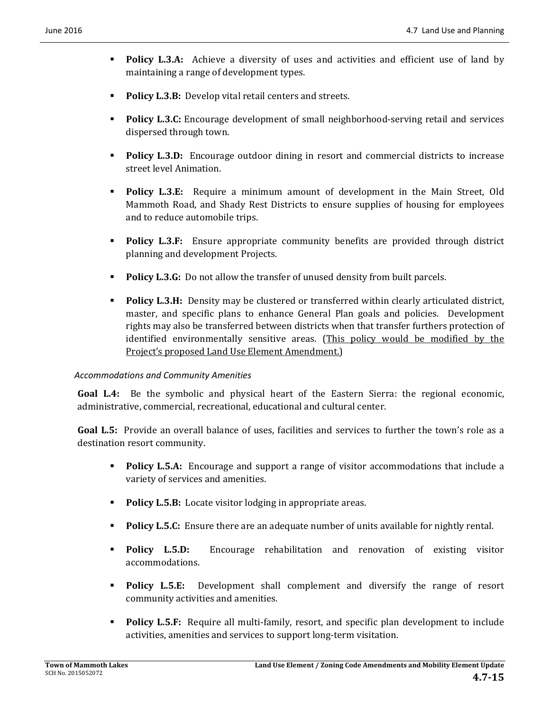- **Policy L.3.A:** Achieve a diversity of uses and activities and efficient use of land by maintaining a range of development types.
- **Policy L.3.B:** Develop vital retail centers and streets.
- **Policy L.3.C:** Encourage development of small neighborhood-serving retail and services dispersed through town.
- **Policy L.3.D:** Encourage outdoor dining in resort and commercial districts to increase street level Animation.
- **Policy L.3.E:** Require a minimum amount of development in the Main Street, Old Mammoth Road, and Shady Rest Districts to ensure supplies of housing for employees and to reduce automobile trips.
- **Policy L.3.F:** Ensure appropriate community benefits are provided through district planning and development Projects.
- **Policy L.3.G:** Do not allow the transfer of unused density from built parcels.
- **Policy L.3.H:** Density may be clustered or transferred within clearly articulated district, master, and specific plans to enhance General Plan goals and policies. Development rights may also be transferred between districts when that transfer furthers protection of identified environmentally sensitive areas. (This policy would be modified by the Project's proposed Land Use Element Amendment.)

#### *Accommodations and Community Amenities*

**Goal L.4:** Be the symbolic and physical heart of the Eastern Sierra: the regional economic, administrative, commercial, recreational, educational and cultural center.

**Goal L.5:** Provide an overall balance of uses, facilities and services to further the town's role as a destination resort community.

- **Policy L.5.A:** Encourage and support a range of visitor accommodations that include a variety of services and amenities.
- **Policy L.5.B:** Locate visitor lodging in appropriate areas.
- **Policy L.5.C:** Ensure there are an adequate number of units available for nightly rental.
- **Policy L.5.D:** Encourage rehabilitation and renovation of existing visitor accommodations.
- **Policy L.5.E:** Development shall complement and diversify the range of resort community activities and amenities.
- **Policy L.5.F:** Require all multi-family, resort, and specific plan development to include activities, amenities and services to support long-term visitation.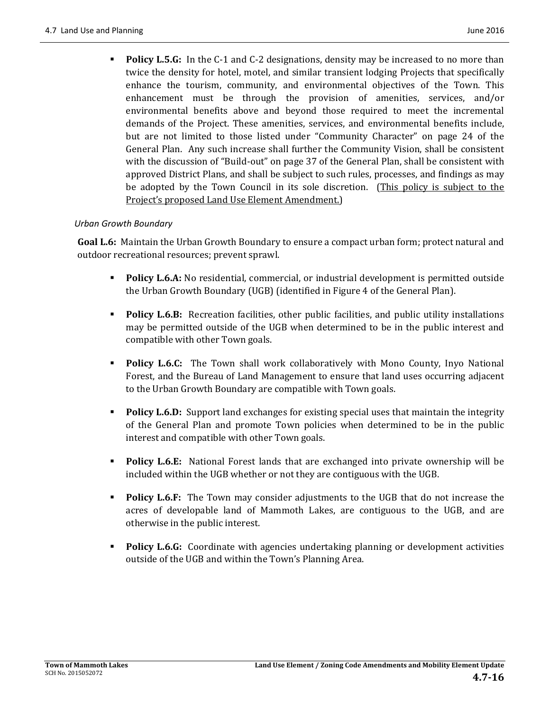**Policy L.5.G:** In the C-1 and C-2 designations, density may be increased to no more than twice the density for hotel, motel, and similar transient lodging Projects that specifically enhance the tourism, community, and environmental objectives of the Town. This enhancement must be through the provision of amenities, services, and/or environmental benefits above and beyond those required to meet the incremental demands of the Project. These amenities, services, and environmental benefits include, but are not limited to those listed under "Community Character" on page 24 of the General Plan. Any such increase shall further the Community Vision, shall be consistent with the discussion of "Build-out" on page 37 of the General Plan, shall be consistent with approved District Plans, and shall be subject to such rules, processes, and findings as may be adopted by the Town Council in its sole discretion. (This policy is subject to the Project's proposed Land Use Element Amendment.)

#### *Urban Growth Boundary*

**Goal L.6:** Maintain the Urban Growth Boundary to ensure a compact urban form; protect natural and outdoor recreational resources; prevent sprawl.

- **Policy L.6.A:** No residential, commercial, or industrial development is permitted outside the Urban Growth Boundary (UGB) (identified in Figure 4 of the General Plan).
- **Policy L.6.B:** Recreation facilities, other public facilities, and public utility installations may be permitted outside of the UGB when determined to be in the public interest and compatible with other Town goals.
- **Policy L.6.C:** The Town shall work collaboratively with Mono County, Inyo National Forest, and the Bureau of Land Management to ensure that land uses occurring adjacent to the Urban Growth Boundary are compatible with Town goals.
- **Policy L.6.D:** Support land exchanges for existing special uses that maintain the integrity of the General Plan and promote Town policies when determined to be in the public interest and compatible with other Town goals.
- **Policy L.6.E:** National Forest lands that are exchanged into private ownership will be included within the UGB whether or not they are contiguous with the UGB.
- **Policy L.6.F:** The Town may consider adjustments to the UGB that do not increase the acres of developable land of Mammoth Lakes, are contiguous to the UGB, and are otherwise in the public interest.
- **Policy L.6.G:** Coordinate with agencies undertaking planning or development activities outside of the UGB and within the Town's Planning Area.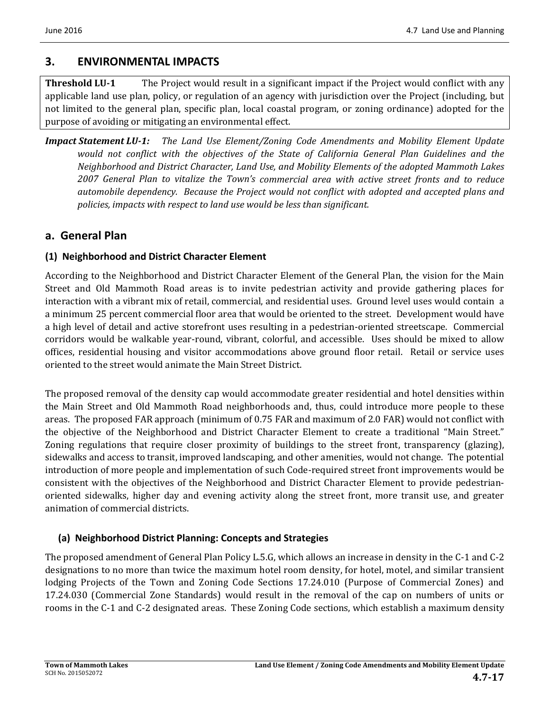# **3. ENVIRONMENTAL IMPACTS**

**Threshold LU-1** The Project would result in a significant impact if the Project would conflict with any applicable land use plan, policy, or regulation of an agency with jurisdiction over the Project (including, but not limited to the general plan, specific plan, local coastal program, or zoning ordinance) adopted for the purpose of avoiding or mitigating an environmental effect.

*Impact Statement LU‐1: The Land Use Element/Zoning Code Amendments and Mobility Element Update would not conflict with the objectives of the State of California General Plan Guidelines and the Neighborhood and District Character, Land Use, and Mobility Elements of the adopted Mammoth Lakes 2007 General Plan to vitalize the Town's commercial area with active street fronts and to reduce automobile dependency. Because the Project would not conflict with adopted and accepted plans and policies, impacts with respect to land use would be less than significant.* 

# **a. General Plan**

### **(1) Neighborhood and District Character Element**

According to the Neighborhood and District Character Element of the General Plan, the vision for the Main Street and Old Mammoth Road areas is to invite pedestrian activity and provide gathering places for interaction with a vibrant mix of retail, commercial, and residential uses. Ground level uses would contain a a minimum 25 percent commercial floor area that would be oriented to the street. Development would have a high level of detail and active storefront uses resulting in a pedestrian-oriented streetscape. Commercial corridors would be walkable year-round, vibrant, colorful, and accessible. Uses should be mixed to allow offices, residential housing and visitor accommodations above ground floor retail. Retail or service uses oriented to the street would animate the Main Street District.

The proposed removal of the density cap would accommodate greater residential and hotel densities within the Main Street and Old Mammoth Road neighborhoods and, thus, could introduce more people to these areas. The proposed FAR approach (minimum of 0.75 FAR and maximum of 2.0 FAR) would not conflict with the objective of the Neighborhood and District Character Element to create a traditional "Main Street." Zoning regulations that require closer proximity of buildings to the street front, transparency (glazing), sidewalks and access to transit, improved landscaping, and other amenities, would not change. The potential introduction of more people and implementation of such Code-required street front improvements would be consistent with the objectives of the Neighborhood and District Character Element to provide pedestrianoriented sidewalks, higher day and evening activity along the street front, more transit use, and greater animation of commercial districts.

#### **(a) Neighborhood District Planning: Concepts and Strategies**

The proposed amendment of General Plan Policy L.5.G, which allows an increase in density in the C-1 and C-2 designations to no more than twice the maximum hotel room density, for hotel, motel, and similar transient lodging Projects of the Town and Zoning Code Sections 17.24.010 (Purpose of Commercial Zones) and 17.24.030 (Commercial Zone Standards) would result in the removal of the cap on numbers of units or rooms in the C-1 and C-2 designated areas. These Zoning Code sections, which establish a maximum density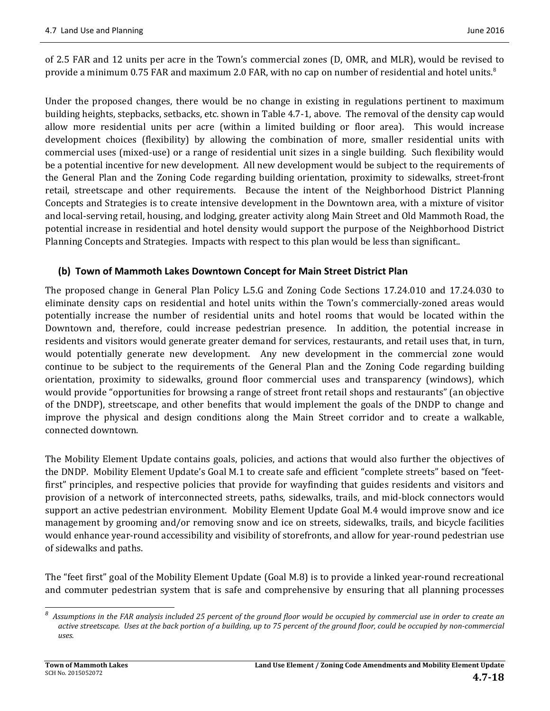of 2.5 FAR and 12 units per acre in the Town's commercial zones (D, OMR, and MLR), would be revised to provide a minimum 0.75 FAR and maximum 2.0 FAR, with no cap on number of residential and hotel units.<sup>8</sup>

Under the proposed changes, there would be no change in existing in regulations pertinent to maximum building heights, stepbacks, setbacks, etc. shown in Table 4.7-1, above. The removal of the density cap would allow more residential units per acre (within a limited building or floor area). This would increase development choices (flexibility) by allowing the combination of more, smaller residential units with commercial uses (mixed-use) or a range of residential unit sizes in a single building. Such flexibility would be a potential incentive for new development. All new development would be subject to the requirements of the General Plan and the Zoning Code regarding building orientation, proximity to sidewalks, street-front retail, streetscape and other requirements. Because the intent of the Neighborhood District Planning Concepts and Strategies is to create intensive development in the Downtown area, with a mixture of visitor and local-serving retail, housing, and lodging, greater activity along Main Street and Old Mammoth Road, the potential increase in residential and hotel density would support the purpose of the Neighborhood District Planning Concepts and Strategies. Impacts with respect to this plan would be less than significant..

### **(b) Town of Mammoth Lakes Downtown Concept for Main Street District Plan**

The proposed change in General Plan Policy L.5.G and Zoning Code Sections 17.24.010 and 17.24.030 to eliminate density caps on residential and hotel units within the Town's commercially-zoned areas would potentially increase the number of residential units and hotel rooms that would be located within the Downtown and, therefore, could increase pedestrian presence. In addition, the potential increase in residents and visitors would generate greater demand for services, restaurants, and retail uses that, in turn, would potentially generate new development. Any new development in the commercial zone would continue to be subject to the requirements of the General Plan and the Zoning Code regarding building orientation, proximity to sidewalks, ground floor commercial uses and transparency (windows), which would provide "opportunities for browsing a range of street front retail shops and restaurants" (an objective of the DNDP), streetscape, and other benefits that would implement the goals of the DNDP to change and improve the physical and design conditions along the Main Street corridor and to create a walkable, connected downtown.

The Mobility Element Update contains goals, policies, and actions that would also further the objectives of the DNDP. Mobility Element Update's Goal M.1 to create safe and efficient "complete streets" based on "feetfirst" principles, and respective policies that provide for wayfinding that guides residents and visitors and provision of a network of interconnected streets, paths, sidewalks, trails, and mid-block connectors would support an active pedestrian environment. Mobility Element Update Goal M.4 would improve snow and ice management by grooming and/or removing snow and ice on streets, sidewalks, trails, and bicycle facilities would enhance year-round accessibility and visibility of storefronts, and allow for year-round pedestrian use of sidewalks and paths.

The "feet first" goal of the Mobility Element Update (Goal M.8) is to provide a linked year-round recreational and commuter pedestrian system that is safe and comprehensive by ensuring that all planning processes

 *8* Assumptions in the FAR analysis included 25 percent of the ground floor would be occupied by commercial use in order to create an active streetscape. Uses at the back portion of a building, up to 75 percent of the ground floor, could be occupied by non-commercial *uses.*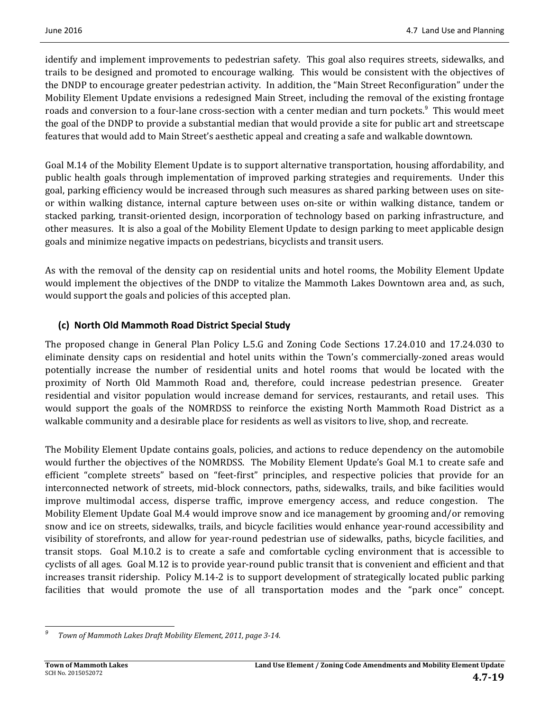identify and implement improvements to pedestrian safety. This goal also requires streets, sidewalks, and trails to be designed and promoted to encourage walking. This would be consistent with the objectives of the DNDP to encourage greater pedestrian activity. In addition, the "Main Street Reconfiguration" under the Mobility Element Update envisions a redesigned Main Street, including the removal of the existing frontage roads and conversion to a four-lane cross-section with a center median and turn pockets.<sup>9</sup> This would meet the goal of the DNDP to provide a substantial median that would provide a site for public art and streetscape features that would add to Main Street's aesthetic appeal and creating a safe and walkable downtown.

Goal M.14 of the Mobility Element Update is to support alternative transportation, housing affordability, and public health goals through implementation of improved parking strategies and requirements. Under this goal, parking efficiency would be increased through such measures as shared parking between uses on siteor within walking distance, internal capture between uses on-site or within walking distance, tandem or stacked parking, transit-oriented design, incorporation of technology based on parking infrastructure, and other measures. It is also a goal of the Mobility Element Update to design parking to meet applicable design goals and minimize negative impacts on pedestrians, bicyclists and transit users.

As with the removal of the density cap on residential units and hotel rooms, the Mobility Element Update would implement the objectives of the DNDP to vitalize the Mammoth Lakes Downtown area and, as such, would support the goals and policies of this accepted plan.

# **(c) North Old Mammoth Road District Special Study**

The proposed change in General Plan Policy L.5.G and Zoning Code Sections 17.24.010 and 17.24.030 to eliminate density caps on residential and hotel units within the Town's commercially-zoned areas would potentially increase the number of residential units and hotel rooms that would be located with the proximity of North Old Mammoth Road and, therefore, could increase pedestrian presence. Greater residential and visitor population would increase demand for services, restaurants, and retail uses. This would support the goals of the NOMRDSS to reinforce the existing North Mammoth Road District as a walkable community and a desirable place for residents as well as visitors to live, shop, and recreate.

The Mobility Element Update contains goals, policies, and actions to reduce dependency on the automobile would further the objectives of the NOMRDSS. The Mobility Element Update's Goal M.1 to create safe and efficient "complete streets" based on "feet-first" principles, and respective policies that provide for an interconnected network of streets, mid-block connectors, paths, sidewalks, trails, and bike facilities would improve multimodal access, disperse traffic, improve emergency access, and reduce congestion. The Mobility Element Update Goal M.4 would improve snow and ice management by grooming and/or removing snow and ice on streets, sidewalks, trails, and bicycle facilities would enhance year-round accessibility and visibility of storefronts, and allow for year-round pedestrian use of sidewalks, paths, bicycle facilities, and transit stops. Goal M.10.2 is to create a safe and comfortable cycling environment that is accessible to cyclists of all ages. Goal M.12 is to provide year-round public transit that is convenient and efficient and that increases transit ridership. Policy M.14-2 is to support development of strategically located public parking facilities that would promote the use of all transportation modes and the "park once" concept.

 *9 Town of Mammoth Lakes Draft Mobility Element, 2011, page 3‐14.*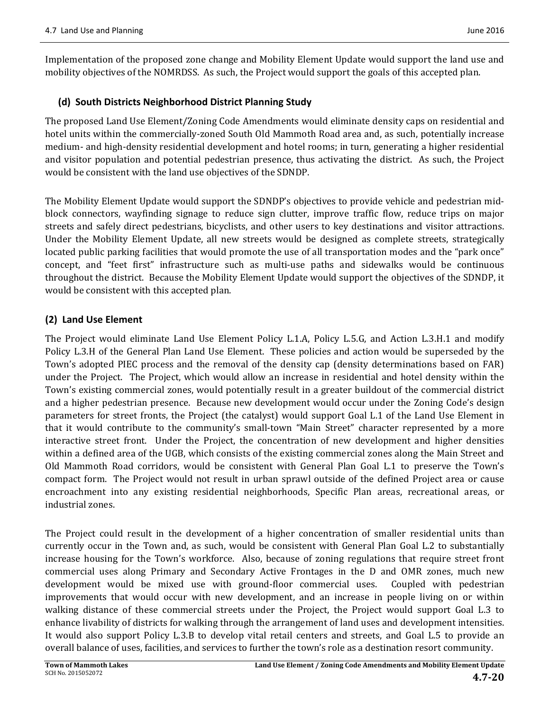Implementation of the proposed zone change and Mobility Element Update would support the land use and mobility objectives of the NOMRDSS. As such, the Project would support the goals of this accepted plan.

### **(d) South Districts Neighborhood District Planning Study**

The proposed Land Use Element/Zoning Code Amendments would eliminate density caps on residential and hotel units within the commercially-zoned South Old Mammoth Road area and, as such, potentially increase medium- and high-density residential development and hotel rooms; in turn, generating a higher residential and visitor population and potential pedestrian presence, thus activating the district. As such, the Project would be consistent with the land use objectives of the SDNDP.

The Mobility Element Update would support the SDNDP's objectives to provide vehicle and pedestrian midblock connectors, wayfinding signage to reduce sign clutter, improve traffic flow, reduce trips on major streets and safely direct pedestrians, bicyclists, and other users to key destinations and visitor attractions. Under the Mobility Element Update, all new streets would be designed as complete streets, strategically located public parking facilities that would promote the use of all transportation modes and the "park once" concept, and "feet first" infrastructure such as multi-use paths and sidewalks would be continuous throughout the district. Because the Mobility Element Update would support the objectives of the SDNDP, it would be consistent with this accepted plan.

### **(2) Land Use Element**

The Project would eliminate Land Use Element Policy L.1.A, Policy L.5.G, and Action L.3.H.1 and modify Policy L.3.H of the General Plan Land Use Element. These policies and action would be superseded by the Town's adopted PIEC process and the removal of the density cap (density determinations based on FAR) under the Project. The Project, which would allow an increase in residential and hotel density within the Town's existing commercial zones, would potentially result in a greater buildout of the commercial district and a higher pedestrian presence. Because new development would occur under the Zoning Code's design parameters for street fronts, the Project (the catalyst) would support Goal L.1 of the Land Use Element in that it would contribute to the community's small-town "Main Street" character represented by a more interactive street front. Under the Project, the concentration of new development and higher densities within a defined area of the UGB, which consists of the existing commercial zones along the Main Street and Old Mammoth Road corridors, would be consistent with General Plan Goal L.1 to preserve the Town's compact form. The Project would not result in urban sprawl outside of the defined Project area or cause encroachment into any existing residential neighborhoods, Specific Plan areas, recreational areas, or industrial zones.

The Project could result in the development of a higher concentration of smaller residential units than currently occur in the Town and, as such, would be consistent with General Plan Goal L.2 to substantially increase housing for the Town's workforce. Also, because of zoning regulations that require street front commercial uses along Primary and Secondary Active Frontages in the D and OMR zones, much new development would be mixed use with ground-floor commercial uses. Coupled with pedestrian improvements that would occur with new development, and an increase in people living on or within walking distance of these commercial streets under the Project, the Project would support Goal L.3 to enhance livability of districts for walking through the arrangement of land uses and development intensities. It would also support Policy L.3.B to develop vital retail centers and streets, and Goal L.5 to provide an overall balance of uses, facilities, and services to further the town's role as a destination resort community.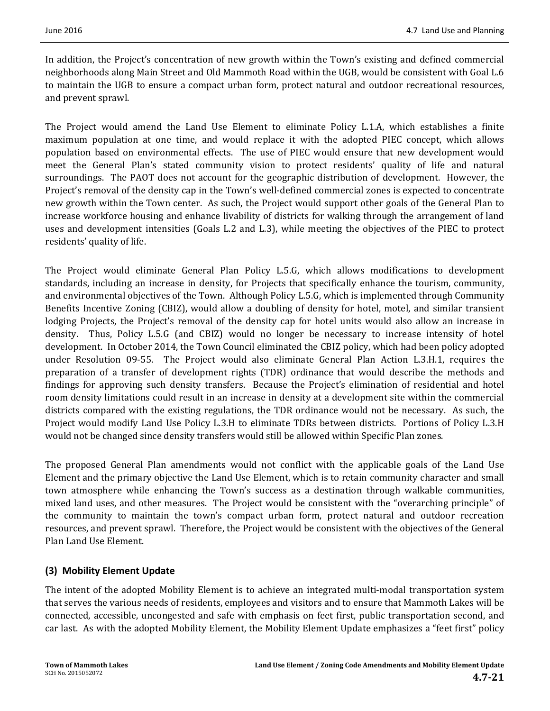In addition, the Project's concentration of new growth within the Town's existing and defined commercial neighborhoods along Main Street and Old Mammoth Road within the UGB, would be consistent with Goal L.6 to maintain the UGB to ensure a compact urban form, protect natural and outdoor recreational resources, and prevent sprawl.

The Project would amend the Land Use Element to eliminate Policy L.1.A, which establishes a finite maximum population at one time, and would replace it with the adopted PIEC concept, which allows population based on environmental effects. The use of PIEC would ensure that new development would meet the General Plan's stated community vision to protect residents' quality of life and natural surroundings. The PAOT does not account for the geographic distribution of development. However, the Project's removal of the density cap in the Town's well-defined commercial zones is expected to concentrate new growth within the Town center. As such, the Project would support other goals of the General Plan to increase workforce housing and enhance livability of districts for walking through the arrangement of land uses and development intensities (Goals L.2 and L.3), while meeting the objectives of the PIEC to protect residents' quality of life.

The Project would eliminate General Plan Policy L.5.G, which allows modifications to development standards, including an increase in density, for Projects that specifically enhance the tourism, community, and environmental objectives of the Town. Although Policy L.5.G, which is implemented through Community Benefits Incentive Zoning (CBIZ), would allow a doubling of density for hotel, motel, and similar transient lodging Projects, the Project's removal of the density cap for hotel units would also allow an increase in density. Thus, Policy L.5.G (and CBIZ) would no longer be necessary to increase intensity of hotel development. In October 2014, the Town Council eliminated the CBIZ policy, which had been policy adopted under Resolution 09-55. The Project would also eliminate General Plan Action L.3.H.1, requires the preparation of a transfer of development rights (TDR) ordinance that would describe the methods and findings for approving such density transfers. Because the Project's elimination of residential and hotel room density limitations could result in an increase in density at a development site within the commercial districts compared with the existing regulations, the TDR ordinance would not be necessary. As such, the Project would modify Land Use Policy L.3.H to eliminate TDRs between districts. Portions of Policy L.3.H would not be changed since density transfers would still be allowed within Specific Plan zones.

The proposed General Plan amendments would not conflict with the applicable goals of the Land Use Element and the primary objective the Land Use Element, which is to retain community character and small town atmosphere while enhancing the Town's success as a destination through walkable communities, mixed land uses, and other measures. The Project would be consistent with the "overarching principle" of the community to maintain the town's compact urban form, protect natural and outdoor recreation resources, and prevent sprawl. Therefore, the Project would be consistent with the objectives of the General Plan Land Use Element.

# **(3) Mobility Element Update**

The intent of the adopted Mobility Element is to achieve an integrated multi-modal transportation system that serves the various needs of residents, employees and visitors and to ensure that Mammoth Lakes will be connected, accessible, uncongested and safe with emphasis on feet first, public transportation second, and car last. As with the adopted Mobility Element, the Mobility Element Update emphasizes a "feet first" policy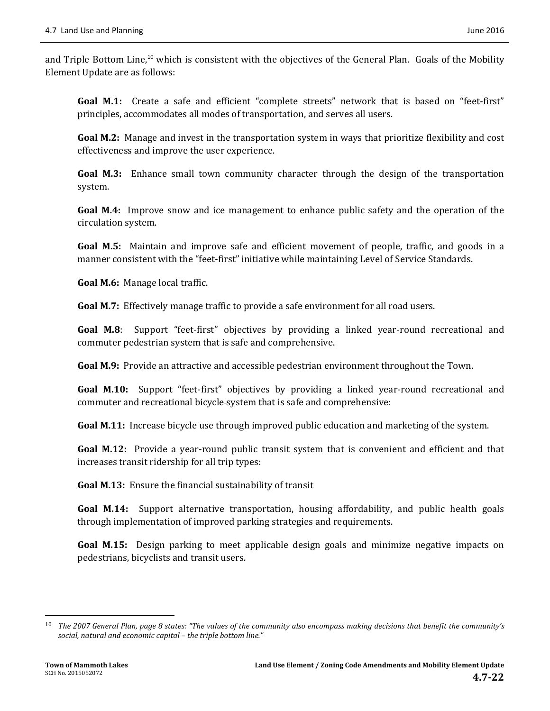and Triple Bottom Line,<sup>10</sup> which is consistent with the objectives of the General Plan. Goals of the Mobility Element Update are as follows:

**Goal M.1:** Create a safe and efficient "complete streets" network that is based on "feet-first" principles, accommodates all modes of transportation, and serves all users.

**Goal M.2:** Manage and invest in the transportation system in ways that prioritize flexibility and cost effectiveness and improve the user experience.

**Goal M.3:** Enhance small town community character through the design of the transportation system. 

**Goal M.4:** Improve snow and ice management to enhance public safety and the operation of the circulation system. 

**Goal M.5:** Maintain and improve safe and efficient movement of people, traffic, and goods in a manner consistent with the "feet-first" initiative while maintaining Level of Service Standards.

**Goal M.6:** Manage local traffic.

**Goal M.7:** Effectively manage traffic to provide a safe environment for all road users.

**Goal M.8**: Support "feet-first" objectives by providing a linked year-round recreational and commuter pedestrian system that is safe and comprehensive.

**Goal M.9:** Provide an attractive and accessible pedestrian environment throughout the Town.

**Goal M.10:** Support "feet-first" objectives by providing a linked year-round recreational and commuter and recreational bicycle-system that is safe and comprehensive:

**Goal M.11:** Increase bicycle use through improved public education and marketing of the system.

**Goal M.12:** Provide a year-round public transit system that is convenient and efficient and that increases transit ridership for all trip types:

**Goal M.13:** Ensure the financial sustainability of transit

**Goal M.14:** Support alternative transportation, housing affordability, and public health goals through implementation of improved parking strategies and requirements.

**Goal M.15:** Design parking to meet applicable design goals and minimize negative impacts on pedestrians, bicyclists and transit users.

 

<sup>&</sup>lt;sup>10</sup> The 2007 General Plan, page 8 states: "The values of the community also encompass making decisions that benefit the community's *social, natural and economic capital – the triple bottom line."*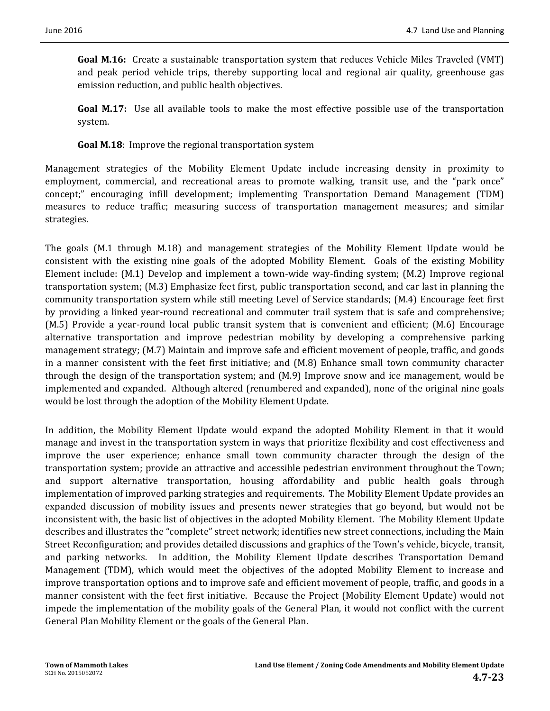**Goal M.16:** Create a sustainable transportation system that reduces Vehicle Miles Traveled (VMT) and peak period vehicle trips, thereby supporting local and regional air quality, greenhouse gas emission reduction, and public health objectives.

**Goal M.17:** Use all available tools to make the most effective possible use of the transportation system. 

**Goal M.18:** Improve the regional transportation system

Management strategies of the Mobility Element Update include increasing density in proximity to employment, commercial, and recreational areas to promote walking, transit use, and the "park once" concept;" encouraging infill development; implementing Transportation Demand Management (TDM) measures to reduce traffic; measuring success of transportation management measures; and similar strategies. 

The goals (M.1 through M.18) and management strategies of the Mobility Element Update would be consistent with the existing nine goals of the adopted Mobility Element. Goals of the existing Mobility Element include:  $(M.1)$  Develop and implement a town-wide way-finding system;  $(M.2)$  Improve regional transportation system; (M.3) Emphasize feet first, public transportation second, and car last in planning the community transportation system while still meeting Level of Service standards; (M.4) Encourage feet first by providing a linked year-round recreational and commuter trail system that is safe and comprehensive;  $(M.5)$  Provide a year-round local public transit system that is convenient and efficient;  $(M.6)$  Encourage alternative transportation and improve pedestrian mobility by developing a comprehensive parking management strategy; (M.7) Maintain and improve safe and efficient movement of people, traffic, and goods in a manner consistent with the feet first initiative; and  $(M.8)$  Enhance small town community character through the design of the transportation system; and  $(M.9)$  Improve snow and ice management, would be implemented and expanded. Although altered (renumbered and expanded), none of the original nine goals would be lost through the adoption of the Mobility Element Update.

In addition, the Mobility Element Update would expand the adopted Mobility Element in that it would manage and invest in the transportation system in ways that prioritize flexibility and cost effectiveness and improve the user experience; enhance small town community character through the design of the transportation system; provide an attractive and accessible pedestrian environment throughout the Town; and support alternative transportation, housing affordability and public health goals through implementation of improved parking strategies and requirements. The Mobility Element Update provides an expanded discussion of mobility issues and presents newer strategies that go beyond, but would not be inconsistent with, the basic list of objectives in the adopted Mobility Element. The Mobility Element Update describes and illustrates the "complete" street network; identifies new street connections, including the Main Street Reconfiguration; and provides detailed discussions and graphics of the Town's vehicle, bicycle, transit, and parking networks. In addition, the Mobility Element Update describes Transportation Demand Management (TDM), which would meet the objectives of the adopted Mobility Element to increase and improve transportation options and to improve safe and efficient movement of people, traffic, and goods in a manner consistent with the feet first initiative. Because the Project (Mobility Element Update) would not impede the implementation of the mobility goals of the General Plan, it would not conflict with the current General Plan Mobility Element or the goals of the General Plan.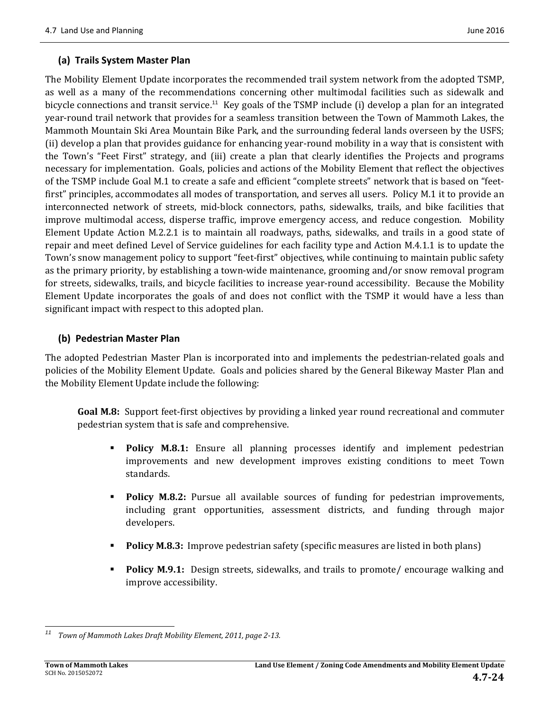#### **(a) Trails System Master Plan**

The Mobility Element Update incorporates the recommended trail system network from the adopted TSMP, as well as a many of the recommendations concerning other multimodal facilities such as sidewalk and bicycle connections and transit service.<sup>11</sup> Key goals of the TSMP include (i) develop a plan for an integrated year-round trail network that provides for a seamless transition between the Town of Mammoth Lakes, the Mammoth Mountain Ski Area Mountain Bike Park, and the surrounding federal lands overseen by the USFS; (ii) develop a plan that provides guidance for enhancing year-round mobility in a way that is consistent with the Town's "Feet First" strategy, and (iii) create a plan that clearly identifies the Projects and programs necessary for implementation. Goals, policies and actions of the Mobility Element that reflect the objectives of the TSMP include Goal M.1 to create a safe and efficient "complete streets" network that is based on "feetfirst" principles, accommodates all modes of transportation, and serves all users. Policy M.1 it to provide an interconnected network of streets, mid-block connectors, paths, sidewalks, trails, and bike facilities that improve multimodal access, disperse traffic, improve emergency access, and reduce congestion. Mobility Element Update Action M.2.2.1 is to maintain all roadways, paths, sidewalks, and trails in a good state of repair and meet defined Level of Service guidelines for each facility type and Action M.4.1.1 is to update the Town's snow management policy to support "feet-first" objectives, while continuing to maintain public safety as the primary priority, by establishing a town-wide maintenance, grooming and/or snow removal program for streets, sidewalks, trails, and bicycle facilities to increase year-round accessibility. Because the Mobility Element Update incorporates the goals of and does not conflict with the TSMP it would have a less than significant impact with respect to this adopted plan.

#### **(b) Pedestrian Master Plan**

The adopted Pedestrian Master Plan is incorporated into and implements the pedestrian-related goals and policies of the Mobility Element Update. Goals and policies shared by the General Bikeway Master Plan and the Mobility Element Update include the following:

**Goal M.8:** Support feet-first objectives by providing a linked year round recreational and commuter pedestrian system that is safe and comprehensive.

- **Policy M.8.1:** Ensure all planning processes identify and implement pedestrian improvements and new development improves existing conditions to meet Town standards.
- **Policy M.8.2:** Pursue all available sources of funding for pedestrian improvements, including grant opportunities, assessment districts, and funding through major developers.
- **Policy M.8.3:** Improve pedestrian safety (specific measures are listed in both plans)
- **Policy M.9.1:** Design streets, sidewalks, and trails to promote/ encourage walking and improve accessibility.

 *<sup>11</sup> Town of Mammoth Lakes Draft Mobility Element, 2011, page 2‐13.*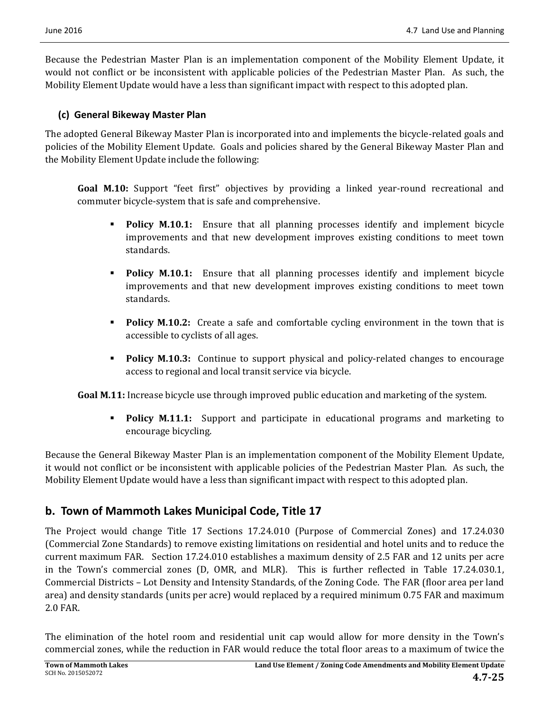Because the Pedestrian Master Plan is an implementation component of the Mobility Element Update, it would not conflict or be inconsistent with applicable policies of the Pedestrian Master Plan. As such, the Mobility Element Update would have a less than significant impact with respect to this adopted plan.

#### **(c) General Bikeway Master Plan**

The adopted General Bikeway Master Plan is incorporated into and implements the bicycle-related goals and policies of the Mobility Element Update. Goals and policies shared by the General Bikeway Master Plan and the Mobility Element Update include the following:

**Goal M.10:** Support "feet first" objectives by providing a linked year-round recreational and commuter bicycle-system that is safe and comprehensive.

- **Policy M.10.1:** Ensure that all planning processes identify and implement bicycle improvements and that new development improves existing conditions to meet town standards.
- **Policy M.10.1:** Ensure that all planning processes identify and implement bicycle improvements and that new development improves existing conditions to meet town standards.
- **Policy M.10.2:** Create a safe and comfortable cycling environment in the town that is accessible to cyclists of all ages.
- **Policy M.10.3:** Continue to support physical and policy-related changes to encourage access to regional and local transit service via bicycle.

**Goal M.11:** Increase bicycle use through improved public education and marketing of the system.

**Policy M.11.1:** Support and participate in educational programs and marketing to encourage bicycling.

Because the General Bikeway Master Plan is an implementation component of the Mobility Element Update, it would not conflict or be inconsistent with applicable policies of the Pedestrian Master Plan. As such, the Mobility Element Update would have a less than significant impact with respect to this adopted plan.

# **b. Town of Mammoth Lakes Municipal Code, Title 17**

The Project would change Title 17 Sections 17.24.010 (Purpose of Commercial Zones) and 17.24.030 (Commercial Zone Standards) to remove existing limitations on residential and hotel units and to reduce the current maximum FAR. Section 17.24.010 establishes a maximum density of 2.5 FAR and 12 units per acre in the Town's commercial zones (D, OMR, and MLR). This is further reflected in Table 17.24.030.1, Commercial Districts - Lot Density and Intensity Standards, of the Zoning Code. The FAR (floor area per land area) and density standards (units per acre) would replaced by a required minimum 0.75 FAR and maximum 2.0 FAR. 

The elimination of the hotel room and residential unit cap would allow for more density in the Town's commercial zones, while the reduction in FAR would reduce the total floor areas to a maximum of twice the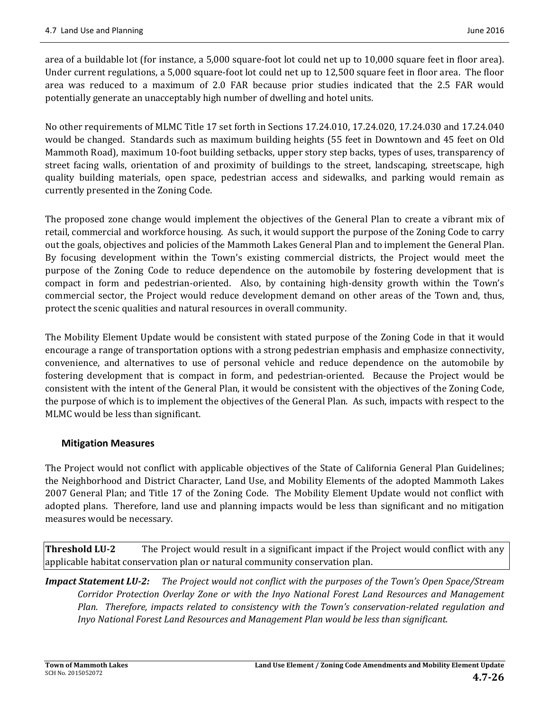area of a buildable lot (for instance, a 5,000 square-foot lot could net up to 10,000 square feet in floor area). Under current regulations, a  $5,000$  square-foot lot could net up to  $12,500$  square feet in floor area. The floor area was reduced to a maximum of 2.0 FAR because prior studies indicated that the 2.5 FAR would potentially generate an unacceptably high number of dwelling and hotel units.

No other requirements of MLMC Title 17 set forth in Sections 17.24.010, 17.24.020, 17.24.030 and 17.24.040 would be changed. Standards such as maximum building heights (55 feet in Downtown and 45 feet on Old Mammoth Road), maximum 10-foot building setbacks, upper story step backs, types of uses, transparency of street facing walls, orientation of and proximity of buildings to the street, landscaping, streetscape, high quality building materials, open space, pedestrian access and sidewalks, and parking would remain as currently presented in the Zoning Code.

The proposed zone change would implement the objectives of the General Plan to create a vibrant mix of retail, commercial and workforce housing. As such, it would support the purpose of the Zoning Code to carry out the goals, objectives and policies of the Mammoth Lakes General Plan and to implement the General Plan. By focusing development within the Town's existing commercial districts, the Project would meet the purpose of the Zoning Code to reduce dependence on the automobile by fostering development that is compact in form and pedestrian-oriented. Also, by containing high-density growth within the Town's commercial sector, the Project would reduce development demand on other areas of the Town and, thus, protect the scenic qualities and natural resources in overall community.

The Mobility Element Update would be consistent with stated purpose of the Zoning Code in that it would encourage a range of transportation options with a strong pedestrian emphasis and emphasize connectivity, convenience, and alternatives to use of personal vehicle and reduce dependence on the automobile by fostering development that is compact in form, and pedestrian-oriented. Because the Project would be consistent with the intent of the General Plan, it would be consistent with the objectives of the Zoning Code, the purpose of which is to implement the objectives of the General Plan. As such, impacts with respect to the MLMC would be less than significant.

#### **Mitigation Measures**

The Project would not conflict with applicable objectives of the State of California General Plan Guidelines; the Neighborhood and District Character, Land Use, and Mobility Elements of the adopted Mammoth Lakes 2007 General Plan; and Title 17 of the Zoning Code. The Mobility Element Update would not conflict with adopted plans. Therefore, land use and planning impacts would be less than significant and no mitigation measures would be necessary.

**Threshold LU-2** The Project would result in a significant impact if the Project would conflict with any applicable habitat conservation plan or natural community conservation plan.

**Impact Statement LU-2:** The Project would not conflict with the purposes of the Town's Open Space/Stream *Corridor Protection Overlay Zone or with the Inyo National Forest Land Resources and Management Plan. Therefore, impacts related to consistency with the Town's conservation‐related regulation and Inyo National Forest Land Resources and Management Plan would be less than significant.*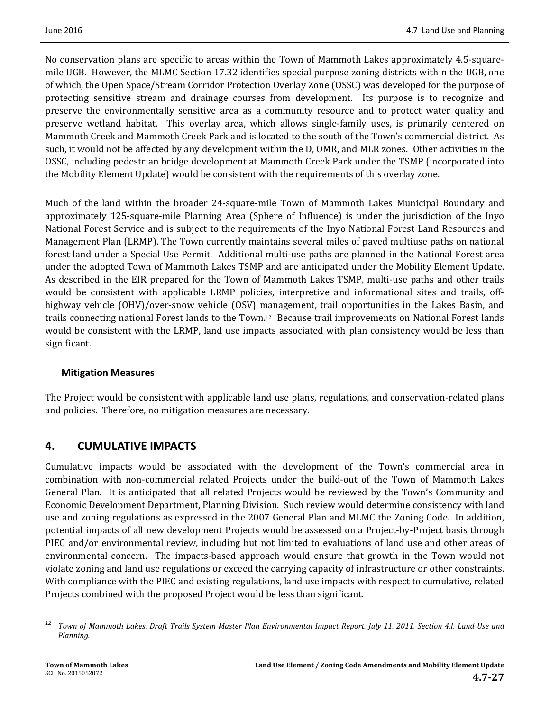No conservation plans are specific to areas within the Town of Mammoth Lakes approximately 4.5-squaremile UGB. However, the MLMC Section 17.32 identifies special purpose zoning districts within the UGB, one of which, the Open Space/Stream Corridor Protection Overlay Zone (OSSC) was developed for the purpose of protecting sensitive stream and drainage courses from development. Its purpose is to recognize and preserve the environmentally sensitive area as a community resource and to protect water quality and preserve wetland habitat. This overlay area, which allows single-family uses, is primarily centered on Mammoth Creek and Mammoth Creek Park and is located to the south of the Town's commercial district. As such, it would not be affected by any development within the D, OMR, and MLR zones. Other activities in the OSSC, including pedestrian bridge development at Mammoth Creek Park under the TSMP (incorporated into the Mobility Element Update) would be consistent with the requirements of this overlay zone.

Much of the land within the broader 24-square-mile Town of Mammoth Lakes Municipal Boundary and approximately 125-square-mile Planning Area (Sphere of Influence) is under the jurisdiction of the Inyo National Forest Service and is subject to the requirements of the Inyo National Forest Land Resources and Management Plan (LRMP). The Town currently maintains several miles of paved multiuse paths on national forest land under a Special Use Permit. Additional multi-use paths are planned in the National Forest area under the adopted Town of Mammoth Lakes TSMP and are anticipated under the Mobility Element Update. As described in the EIR prepared for the Town of Mammoth Lakes TSMP, multi-use paths and other trails would be consistent with applicable LRMP policies, interpretive and informational sites and trails, offhighway vehicle (OHV)/over-snow vehicle (OSV) management, trail opportunities in the Lakes Basin, and trails connecting national Forest lands to the Town.<sup>12</sup> Because trail improvements on National Forest lands would be consistent with the LRMP, land use impacts associated with plan consistency would be less than significant. 

#### **Mitigation Measures**

The Project would be consistent with applicable land use plans, regulations, and conservation-related plans and policies. Therefore, no mitigation measures are necessary.

# **4. CUMULATIVE IMPACTS**

Cumulative impacts would be associated with the development of the Town's commercial area in combination with non-commercial related Projects under the build-out of the Town of Mammoth Lakes General Plan. It is anticipated that all related Projects would be reviewed by the Town's Community and Economic Development Department, Planning Division. Such review would determine consistency with land use and zoning regulations as expressed in the 2007 General Plan and MLMC the Zoning Code. In addition, potential impacts of all new development Projects would be assessed on a Project-by-Project basis through PIEC and/or environmental review, including but not limited to evaluations of land use and other areas of environmental concern. The impacts-based approach would ensure that growth in the Town would not violate zoning and land use regulations or exceed the carrying capacity of infrastructure or other constraints. With compliance with the PIEC and existing regulations, land use impacts with respect to cumulative, related Projects combined with the proposed Project would be less than significant.

 <sup>12</sup> Town of Mammoth Lakes, Draft Trails System Master Plan Environmental Impact Report, July 11, 2011, Section 4.I, Land Use and *Planning.*